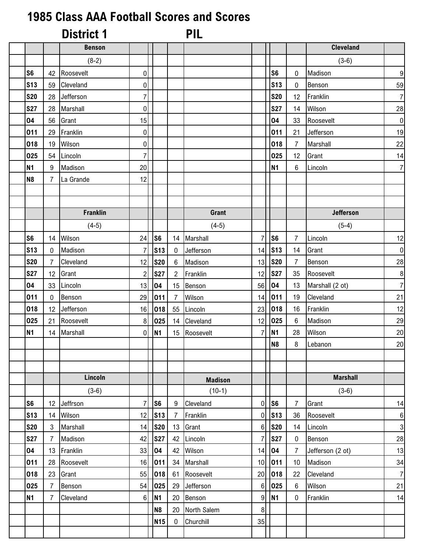## **1985 Class AAA Football Scores and Scores**

|                |                | <b>District 1</b> |                |                |                  | <b>PIL</b>     |                 |                 |                  |                  |                |
|----------------|----------------|-------------------|----------------|----------------|------------------|----------------|-----------------|-----------------|------------------|------------------|----------------|
|                |                | <b>Benson</b>     |                |                |                  |                |                 |                 |                  | <b>Cleveland</b> |                |
|                |                | $(8-2)$           |                |                |                  |                |                 |                 |                  | $(3-6)$          |                |
| S <sub>6</sub> | 42             | Roosevelt         | $\overline{0}$ |                |                  |                |                 | S <sub>6</sub>  | $\mathbf 0$      | Madison          | 9              |
| <b>S13</b>     | 59             | Cleveland         | $\overline{0}$ |                |                  |                |                 | <b>S13</b>      | $\mathbf 0$      | Benson           | 59             |
| <b>S20</b>     | 28             | Jefferson         | $\overline{7}$ |                |                  |                |                 | <b>S20</b>      | 12               | Franklin         | $\overline{7}$ |
| <b>S27</b>     | 28             | Marshall          | $\overline{0}$ |                |                  |                |                 | <b>S27</b>      | 14               | Wilson           | 28             |
| 04             | 56             | Grant             | 15             |                |                  |                |                 | 04              | 33               | Roosevelt        | $\overline{0}$ |
| 011            | 29             | Franklin          | $\overline{0}$ |                |                  |                |                 | 011             | 21               | Jefferson        | 19             |
| 018            | 19             | Wilson            | $\overline{0}$ |                |                  |                |                 | 018             | $\overline{7}$   | Marshall         | 22             |
| 025            | 54             | Lincoln           | $\mathbf{z}$   |                |                  |                |                 | 025             | 12               | Grant            | 14             |
| <b>N1</b>      | 9              | Madison           | 20             |                |                  |                |                 | <b>N1</b>       | 6                | Lincoln          | $\overline{7}$ |
| N <sub>8</sub> | $\overline{7}$ | La Grande         | 12             |                |                  |                |                 |                 |                  |                  |                |
|                |                |                   |                |                |                  |                |                 |                 |                  |                  |                |
|                |                |                   |                |                |                  |                |                 |                 |                  |                  |                |
|                |                | <b>Franklin</b>   |                |                |                  | Grant          |                 |                 |                  | Jefferson        |                |
|                |                | $(4-5)$           |                |                |                  | $(4-5)$        |                 |                 |                  | $(5-4)$          |                |
| S <sub>6</sub> | 14             | Wilson            | 24             | S <sub>6</sub> |                  | 14 Marshall    | 7               | S <sub>6</sub>  | $\overline{7}$   | Lincoln          | 12             |
| <b>S13</b>     | $\mathbf 0$    | Madison           | 7              | <b>S13</b>     | $\mathbf{0}$     | Jefferson      | 14              | S <sub>13</sub> | 14               | Grant            | $\overline{0}$ |
| <b>S20</b>     | $\overline{7}$ | Cleveland         | 12             | <b>S20</b>     | 6                | Madison        | 13              | <b>S20</b>      | $\overline{7}$   | Benson           | 28             |
| <b>S27</b>     | 12             | Grant             | 2              | <b>S27</b>     | $\overline{2}$   | Franklin       | 12              | <b>S27</b>      | 35               | Roosevelt        | 8              |
| 04             | 33             | Lincoln           | 13             | 04             | 15               | Benson         | 56              | 04              | 13               | Marshall (2 ot)  | $\overline{7}$ |
| 011            | $\pmb{0}$      | Benson            | 29             | 011            | 7                | Wilson         | 14              | 011             | 19               | Cleveland        | 21             |
| 018            | 12             | Jefferson         | 16             | 018            | 55               | Lincoln        | 23              | 018             | 16               | Franklin         | 12             |
| 025            | 21             | Roosevelt         | 8 <sup>1</sup> | 025            | 14               | Cleveland      | 12              | 025             | 6                | Madison          | 29             |
| <b>N1</b>      | 14             | Marshall          | $\overline{0}$ | <b>N1</b>      |                  | 15 Roosevelt   | 7               | <b>N1</b>       | 28               | Wilson           | 20             |
|                |                |                   |                |                |                  |                |                 | N <sub>8</sub>  | 8                | Lebanon          | 20             |
|                |                |                   |                |                |                  |                |                 |                 |                  |                  |                |
|                |                |                   |                |                |                  |                |                 |                 |                  |                  |                |
|                |                | Lincoln           |                |                |                  | <b>Madison</b> |                 |                 |                  | <b>Marshall</b>  |                |
|                |                | $(3-6)$           |                |                |                  | $(10-1)$       |                 |                 |                  | $(3-6)$          |                |
| S <sub>6</sub> | 12             | Jeffrson          | 7              | S <sub>6</sub> | 9                | Cleveland      | $\overline{0}$  | <b>S6</b>       | $\overline{7}$   | Grant            | 14             |
| <b>S13</b>     | 14             | Wilson            | 12             | <b>S13</b>     | 7                | Franklin       | 0               | S <sub>13</sub> | 36               | Roosevelt        | $6 \mid$       |
| <b>S20</b>     | 3              | Marshall          | 14             | <b>S20</b>     | 13               | Grant          | 6               | <b>S20</b>      | 14               | Lincoln          | $\overline{3}$ |
| <b>S27</b>     | $\overline{7}$ | Madison           | 42             | <b>S27</b>     | 42               | Lincoln        | 7               | <b>S27</b>      | $\mathbf 0$      | Benson           | 28             |
| 04             | 13             | Franklin          | 33             | 04             | 42               | Wilson         | 14              | 04              | $\overline{7}$   | Jefferson (2 ot) | 13             |
| 011            | 28             | Roosevelt         | 16             | 011            | 34               | Marshall       | 10 <sup>1</sup> | 011             | 10               | Madison          | 34             |
| 018            | 23             | Grant             | 55             | 018            | 61               | Roosevelt      | 20              | 018             | 22               | Cleveland        | $\overline{7}$ |
| 025            | $\overline{7}$ | Benson            | 54             | 025            | 29               | Jefferson      | 6               | 025             | $\boldsymbol{6}$ | Wilson           | 21             |
| <b>N1</b>      | 7              | Cleveland         | $6 \mid$       | N <sub>1</sub> | 20               | Benson         | 9               | <b>N1</b>       | $\mathbf 0$      | Franklin         | 14             |
|                |                |                   |                | N <sub>8</sub> | 20               | North Salem    | 8               |                 |                  |                  |                |
|                |                |                   |                | <b>N15</b>     | $\boldsymbol{0}$ | Churchill      | 35              |                 |                  |                  |                |
|                |                |                   |                |                |                  |                |                 |                 |                  |                  |                |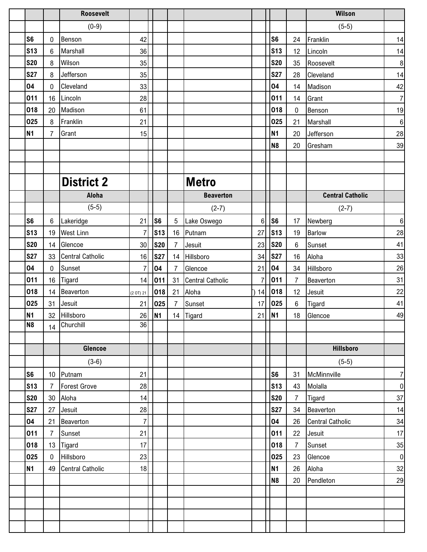|                 |                 | <b>Roosevelt</b>        |                |                |                |                         |     |                |                | Wilson                  |                  |
|-----------------|-----------------|-------------------------|----------------|----------------|----------------|-------------------------|-----|----------------|----------------|-------------------------|------------------|
|                 |                 | $(0-9)$                 |                |                |                |                         |     |                |                | $(5-5)$                 |                  |
| S <sub>6</sub>  | 0               | Benson                  | 42             |                |                |                         |     | S <sub>6</sub> | 24             | Franklin                | 14               |
| <b>S13</b>      | $6\phantom{1}6$ | Marshall                | 36             |                |                |                         |     | <b>S13</b>     | 12             | Lincoln                 | 14               |
| <b>S20</b>      | 8               | Wilson                  | 35             |                |                |                         |     | <b>S20</b>     | 35             | Roosevelt               | $\bf 8$          |
| <b>S27</b>      | 8               | Jefferson               | 35             |                |                |                         |     | <b>S27</b>     | 28             | Cleveland               | 14               |
| 04              | 0               | Cleveland               | 33             |                |                |                         |     | 04             | 14             | Madison                 | 42               |
| 011             | 16              | Lincoln                 | 28             |                |                |                         |     | 011            | 14             | Grant                   | $\overline{7}$   |
| 018             | 20              | Madison                 | 61             |                |                |                         |     | 018            | $\pmb{0}$      | Benson                  | 19               |
| 025             | 8               | Franklin                | 21             |                |                |                         |     | 025            | 21             | Marshall                | $\boldsymbol{6}$ |
| <b>N1</b>       | $\overline{7}$  | Grant                   | 15             |                |                |                         |     | <b>N1</b>      | 20             | Jefferson               | 28               |
|                 |                 |                         |                |                |                |                         |     | N <sub>8</sub> | 20             | Gresham                 | 39               |
|                 |                 |                         |                |                |                |                         |     |                |                |                         |                  |
|                 |                 | <b>District 2</b>       |                |                |                | <b>Metro</b>            |     |                |                |                         |                  |
|                 |                 | <b>Aloha</b>            |                |                |                | <b>Beaverton</b>        |     |                |                | <b>Central Catholic</b> |                  |
|                 |                 | $(5-5)$                 |                |                |                | $(2-7)$                 |     |                |                | $(2-7)$                 |                  |
| S <sub>6</sub>  | 6               | Lakeridge               | 21             | S <sub>6</sub> | 5              | Lake Oswego             | 6   | S <sub>6</sub> | 17             | Newberg                 | $\,6\,$          |
| <b>S13</b>      | 19              | <b>West Linn</b>        | 7              | <b>S13</b>     |                | 16 Putnam               | 27  | <b>S13</b>     | 19             | <b>Barlow</b>           | 28               |
| <b>S20</b>      | 14              | Glencoe                 | 30             | <b>S20</b>     | $\overline{7}$ | Jesuit                  | 23  | <b>S20</b>     | $\,6$          | Sunset                  | 41               |
| <b>S27</b>      | 33              | <b>Central Catholic</b> | 16             | <b>S27</b>     | 14             | Hillsboro               | 34  | <b>S27</b>     | 16             | Aloha                   | 33               |
| 04              | 0               | Sunset                  | 7              | 04             | $\overline{7}$ | Glencoe                 | 21  | 04             | 34             | Hillsboro               | 26               |
| 011             | 16              | Tigard                  | 14             | 011            | 31             | <b>Central Catholic</b> |     | 011            | $\overline{7}$ | Beaverton               | 31               |
| 018             | 14              | Beaverton               | (2 O T) 21     | 018            | 21             | Aloha                   | )14 | 018            | 12             | Jesuit                  | 22               |
| 025             | 31              | Jesuit                  | 21             | 025            | 7              | Sunset                  | 17  | 025            | $\,6$          | Tigard                  | 41               |
| <b>N1</b>       | 32              | Hillsboro               | 26             | <b>N1</b>      |                | 14 Tigard               | 21  | <b>N1</b>      | 18             | Glencoe                 | 49               |
| N <sub>8</sub>  |                 | 14 Churchill            | 36             |                |                |                         |     |                |                |                         |                  |
|                 |                 |                         |                |                |                |                         |     |                |                |                         |                  |
|                 |                 | Glencoe                 |                |                |                |                         |     |                |                | <b>Hillsboro</b>        |                  |
|                 |                 | $(3-6)$                 |                |                |                |                         |     |                |                | $(5-5)$                 |                  |
| S <sub>6</sub>  | 10 <sup>°</sup> | Putnam                  | 21             |                |                |                         |     | S <sub>6</sub> | 31             | McMinnville             | $\overline{7}$   |
| S <sub>13</sub> | $\overline{7}$  | <b>Forest Grove</b>     | 28             |                |                |                         |     | <b>S13</b>     | 43             | Molalla                 | $\overline{0}$   |
| <b>S20</b>      | 30              | Aloha                   | 14             |                |                |                         |     | <b>S20</b>     | $\overline{7}$ | Tigard                  | 37               |
| <b>S27</b>      | 27              | Jesuit                  | 28             |                |                |                         |     | <b>S27</b>     | 34             | Beaverton               | 14               |
| 04              | 21              | Beaverton               | $\overline{7}$ |                |                |                         |     | 04             | 26             | <b>Central Catholic</b> | 34               |
| 011             | $\overline{7}$  | Sunset                  | 21             |                |                |                         |     | 011            | 22             | Jesuit                  | 17               |
| 018             | 13              | Tigard                  | 17             |                |                |                         |     | 018            | $\overline{7}$ | Sunset                  | 35               |
| 025             | $\pmb{0}$       | Hillsboro               | 23             |                |                |                         |     | 025            | 23             | Glencoe                 | $\mathbf 0$      |
| <b>N1</b>       | 49              | <b>Central Catholic</b> | 18             |                |                |                         |     | <b>N1</b>      | 26             | Aloha                   | 32               |
|                 |                 |                         |                |                |                |                         |     | <b>N8</b>      | 20             | Pendleton               | 29               |
|                 |                 |                         |                |                |                |                         |     |                |                |                         |                  |
|                 |                 |                         |                |                |                |                         |     |                |                |                         |                  |
|                 |                 |                         |                |                |                |                         |     |                |                |                         |                  |
|                 |                 |                         |                |                |                |                         |     |                |                |                         |                  |
|                 |                 |                         |                |                |                |                         |     |                |                |                         |                  |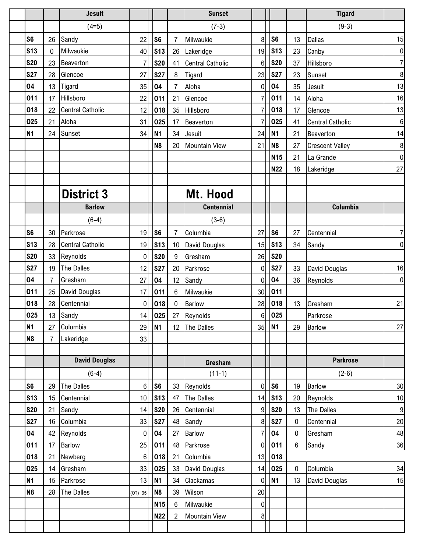|                |                | <b>Jesuit</b>           |                 |                |                | <b>Sunset</b>           |                  |                 |             | <b>Tigard</b>           |                  |
|----------------|----------------|-------------------------|-----------------|----------------|----------------|-------------------------|------------------|-----------------|-------------|-------------------------|------------------|
|                |                | $(4=5)$                 |                 |                |                | $(7-3)$                 |                  |                 |             | $(9-3)$                 |                  |
| S <sub>6</sub> | 26             | Sandy                   | 22              | S <sub>6</sub> | 7              | Milwaukie               | 8                | S <sub>6</sub>  | 13          | <b>Dallas</b>           | 15               |
| <b>S13</b>     | $\mathbf 0$    | Milwaukie               | 40              | <b>S13</b>     | 26             | Lakeridge               | 19               | <b>S13</b>      | 23          | Canby                   | $\pmb{0}$        |
| <b>S20</b>     | 23             | Beaverton               | 7               | <b>S20</b>     | 41             | <b>Central Catholic</b> | 6                | <b>S20</b>      | 37          | Hillsboro               | $\overline{7}$   |
| <b>S27</b>     | 28             | Glencoe                 | 27              | <b>S27</b>     | 8              | Tigard                  | 23               | <b>S27</b>      | 23          | Sunset                  | 8                |
| 04             | 13             | Tigard                  | 35              | 04             | 7              | Aloha                   | $\mathbf{0}$     | 04              | 35          | Jesuit                  | 13               |
| 011            | 17             | Hillsboro               | 22              | 011            | 21             | Glencoe                 |                  | 011             | 14          | Aloha                   | 16               |
| 018            | 22             | <b>Central Catholic</b> | 12              | 018            | 35             | Hillsboro               |                  | 018             | 17          | Glencoe                 | 13               |
| 025            | 21             | Aloha                   | 31              | 025            | 17             | Beaverton               | 7                | 025             | 41          | <b>Central Catholic</b> | $\,6\,$          |
| <b>N1</b>      | 24             | Sunset                  | 34              | <b>N1</b>      | 34             | Jesuit                  | 24               | <b>N1</b>       | 21          | Beaverton               | 14               |
|                |                |                         |                 | N <sub>8</sub> | 20             | <b>Mountain View</b>    | 21               | N <sub>8</sub>  | 27          | <b>Crescent Valley</b>  | $\bf 8$          |
|                |                |                         |                 |                |                |                         |                  | <b>N15</b>      | 21          | La Grande               | $\boldsymbol{0}$ |
|                |                |                         |                 |                |                |                         |                  | <b>N22</b>      | 18          | Lakeridge               | 27               |
|                |                |                         |                 |                |                |                         |                  |                 |             |                         |                  |
|                |                | <b>District 3</b>       |                 |                |                | Mt. Hood                |                  |                 |             |                         |                  |
|                |                | <b>Barlow</b>           |                 |                |                | <b>Centennial</b>       |                  |                 |             | Columbia                |                  |
|                |                | $(6-4)$                 |                 |                |                | $(3-6)$                 |                  |                 |             |                         |                  |
| S <sub>6</sub> | 30             | Parkrose                | 19              | S <sub>6</sub> | 7              | Columbia                | 27               | S <sub>6</sub>  | 27          | Centennial              | 7                |
| <b>S13</b>     | 28             | <b>Central Catholic</b> | 19              | <b>S13</b>     | 10             | David Douglas           | 15               | S <sub>13</sub> | 34          | Sandy                   | 0                |
| <b>S20</b>     | 33             | Reynolds                | $\overline{0}$  | <b>S20</b>     | 9              | Gresham                 | 26               | <b>S20</b>      |             |                         |                  |
| <b>S27</b>     | 19             | The Dalles              | 12              | <b>S27</b>     | 20             | Parkrose                | 0                | <b>S27</b>      | 33          | David Douglas           | 16               |
| 04             | $\overline{7}$ | Gresham                 | 27              | 04             | 12             | Sandy                   | $\mathbf{0}$     | 04              | 36          | Reynolds                | 0                |
| 011            | 25             | David Douglas           | 17              | 011            | 6              | Milwaukie               | 30               | 011             |             |                         |                  |
| 018            | 28             | Centennial              | $\overline{0}$  | 018            | 0              | <b>Barlow</b>           | 28               | 018             | 13          | Gresham                 | 21               |
| 025            | 13             | Sandy                   | 14              | 025            | 27             | Reynolds                | 6                | 025             |             | Parkrose                |                  |
| N <sub>1</sub> | 27             | Columbia                |                 | 29 N1          |                | 12 The Dalles           |                  | 35 N1           | 29          | <b>Barlow</b>           | 27               |
| N <sub>8</sub> | $\overline{7}$ | Lakeridge               | 33              |                |                |                         |                  |                 |             |                         |                  |
|                |                |                         |                 |                |                |                         |                  |                 |             |                         |                  |
|                |                | <b>David Douglas</b>    |                 |                |                | Gresham                 |                  |                 |             | <b>Parkrose</b>         |                  |
|                |                | $(6-4)$                 |                 |                |                | $(11-1)$                |                  |                 |             | $(2-6)$                 |                  |
| S <sub>6</sub> | 29             | The Dalles              | $6\phantom{.}$  | S <sub>6</sub> | 33             | Reynolds                | 0                | S <sub>6</sub>  | 19          | <b>Barlow</b>           | $30\,$           |
| <b>S13</b>     | 15             | Centennial              | 10 <sup>1</sup> | <b>S13</b>     | 47             | The Dalles              | 14               | S <sub>13</sub> | 20          | Reynolds                | 10               |
| <b>S20</b>     | 21             | Sandy                   | 14              | <b>S20</b>     | 26             | Centennial              | 9                | <b>S20</b>      | 13          | The Dalles              | $9\,$            |
| <b>S27</b>     | 16             | Columbia                | 33              | <b>S27</b>     | 48             | Sandy                   | 8                | <b>S27</b>      | 0           | Centennial              | $20\,$           |
| 04             | 42             | Reynolds                | $\overline{0}$  | 04             | 27             | Barlow                  | 7                | 04              | 0           | Gresham                 | 48               |
| 011            | 17             | <b>Barlow</b>           | 25              | 011            | 48             | Parkrose                | 0                | 011             | 6           | Sandy                   | 36               |
| 018            | 21             | Newberg                 | $6 \mid$        | 018            | 21             | Columbia                | 13               | 018             |             |                         |                  |
| 025            | 14             | Gresham                 | 33              | 025            | 33             | David Douglas           | 14               | 025             | $\mathbf 0$ | Columbia                | 34               |
| <b>N1</b>      | 15             | Parkrose                | 13              | <b>N1</b>      | 34             | Clackamas               | 0                | <b>N1</b>       | 13          | David Douglas           | 15               |
| N <sub>8</sub> | 28             | The Dalles              | (0T) 35         | N <sub>8</sub> | 39             | Wilson                  | 20               |                 |             |                         |                  |
|                |                |                         |                 | <b>N15</b>     | 6              | Milwaukie               | $\boldsymbol{0}$ |                 |             |                         |                  |
|                |                |                         |                 | <b>N22</b>     | $\overline{2}$ | Mountain View           | 8                |                 |             |                         |                  |
|                |                |                         |                 |                |                |                         |                  |                 |             |                         |                  |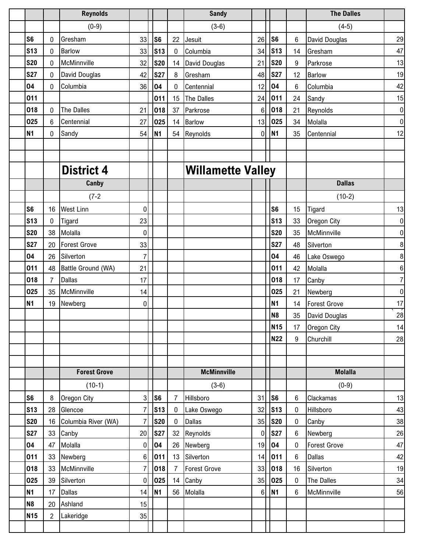|                          |                | <b>Reynolds</b>                |                     |                          |                          | <b>Sandy</b>             |             |                          |                          | <b>The Dalles</b>              |                  |
|--------------------------|----------------|--------------------------------|---------------------|--------------------------|--------------------------|--------------------------|-------------|--------------------------|--------------------------|--------------------------------|------------------|
|                          |                | $(0-9)$                        |                     |                          |                          | $(3-6)$                  |             |                          |                          | $(4-5)$                        |                  |
| S <sub>6</sub>           | 0              | Gresham                        | 33                  | S <sub>6</sub>           | 22                       | Jesuit                   | 26          | S <sub>6</sub>           | 6                        | David Douglas                  | 29               |
| S <sub>13</sub>          | 0              | <b>Barlow</b>                  | 33                  | <b>S13</b>               | $\mathbf 0$              | Columbia                 | 34          | <b>S13</b>               | 14                       | Gresham                        | 47               |
| <b>S20</b>               | $\mathbf 0$    | McMinnville                    | 32                  | <b>S20</b>               | 14                       | David Douglas            | 21          | <b>S20</b>               | 9                        | Parkrose                       | 13               |
| <b>S27</b>               | $\mathbf 0$    | David Douglas                  | 42                  | <b>S27</b>               | 8                        | Gresham                  | 48          | <b>S27</b>               | 12                       | <b>Barlow</b>                  | 19               |
| 04                       | 0              | Columbia                       | 36                  | 04                       | 0                        | Centennial               | 12          | 04                       | 6                        | Columbia                       | 42               |
| 011                      |                |                                |                     | 011                      | 15                       | The Dalles               | 24          | 011                      | 24                       | Sandy                          | 15               |
| 018                      | 0              | The Dalles                     | 21                  | 018                      | 37                       | Parkrose                 | 6           | 018                      | 21                       | Reynolds                       | $\overline{0}$   |
| 025                      | $6\phantom{1}$ | Centennial                     | 27                  | 025                      | 14                       | Barlow                   | 13          | 025                      | 34                       | Molalla                        | $\overline{0}$   |
| <b>N1</b>                | 0              | Sandy                          | 54                  | <b>N1</b>                | 54                       | Reynolds                 | 0           | <b>N1</b>                | 35                       | Centennial                     | 12               |
|                          |                |                                |                     |                          |                          |                          |             |                          |                          |                                |                  |
|                          |                |                                |                     |                          |                          |                          |             |                          |                          |                                |                  |
|                          |                | <b>District 4</b>              |                     |                          |                          | <b>Willamette Valley</b> |             |                          |                          |                                |                  |
|                          |                | Canby                          |                     |                          |                          |                          |             |                          |                          | <b>Dallas</b>                  |                  |
|                          |                | $(7-2)$                        |                     |                          |                          |                          |             |                          |                          | $(10-2)$                       |                  |
| S <sub>6</sub>           | 16             | <b>West Linn</b>               | $\overline{0}$      |                          |                          |                          |             | S <sub>6</sub>           | 15                       | Tigard                         | 13               |
| <b>S13</b>               | $\bf{0}$       | Tigard                         | 23                  |                          |                          |                          |             | <b>S13</b>               | 33                       | Oregon City                    | $\overline{0}$   |
| <b>S20</b>               | 38             | Molalla                        | $\mathbf 0$         |                          |                          |                          |             | <b>S20</b>               | 35                       | McMinnville                    | $\overline{0}$   |
| <b>S27</b>               | 20             | <b>Forest Grove</b>            | 33                  |                          |                          |                          |             | <b>S27</b>               | 48                       | Silverton                      | 8 <sup>1</sup>   |
| 04                       | 26             | Silverton                      | $\overline{7}$      |                          |                          |                          |             | 04                       | 46                       | Lake Oswego                    | $\boldsymbol{8}$ |
| 011                      | 48             | Battle Ground (WA)             | 21                  |                          |                          |                          |             | 011                      | 42                       | Molalla                        | $6 \mid$         |
| 018                      | $\overline{7}$ | <b>Dallas</b>                  | 17                  |                          |                          |                          |             | 018                      | 17                       | Canby                          | 7                |
| 025                      | 35             | McMinnville                    | 14                  |                          |                          |                          |             | 025                      | 21                       | Newberg                        | $\overline{0}$   |
| <b>N1</b>                | 19             | Newberg                        | 0                   |                          |                          |                          |             | <b>N1</b>                | 14                       | <b>Forest Grove</b>            | 17               |
|                          |                |                                |                     |                          |                          |                          |             | N <sub>8</sub>           | 35                       | David Douglas                  | 28               |
|                          |                |                                |                     |                          |                          |                          |             | <b>N15</b>               | 17                       | <b>Oregon City</b>             | 14               |
|                          |                |                                |                     |                          |                          |                          |             | <b>N22</b>               | 9                        | Churchill                      | 28               |
|                          |                |                                |                     |                          |                          |                          |             |                          |                          |                                |                  |
|                          |                | <b>Forest Grove</b>            |                     |                          |                          | <b>McMinnville</b>       |             |                          |                          | <b>Molalla</b>                 |                  |
|                          |                |                                |                     |                          |                          |                          |             |                          |                          |                                |                  |
|                          |                | $(10-1)$                       |                     |                          |                          | $(3-6)$                  |             |                          |                          | $(0-9)$                        |                  |
| S <sub>6</sub>           | 8              | <b>Oregon City</b>             | $\overline{3}$      | <b>S6</b>                | 7                        | Hillsboro                | 31          | S <sub>6</sub>           | 6                        | Clackamas                      | 13               |
| <b>S13</b><br><b>S20</b> | 28<br>16       | Glencoe<br>Columbia River (WA) | $\overline{7}$<br>7 | <b>S13</b><br><b>S20</b> | $\mathbf{0}$<br>$\bf{0}$ | Lake Oswego<br>Dallas    | 32<br>35    | <b>S13</b><br><b>S20</b> | $\mathbf 0$<br>$\pmb{0}$ | Hillsboro                      | 43<br>38         |
| <b>S27</b>               | 33             | Canby                          | 20                  | <b>S27</b>               | 32                       |                          | $\mathbf 0$ | <b>S27</b>               | $\boldsymbol{6}$         | Canby                          | $26\,$           |
| 04                       | 47             | Molalla                        | 0                   | 04                       | 26                       | Reynolds<br>Newberg      | 19          | 04                       | $\mathbf 0$              | Newberg<br><b>Forest Grove</b> | 47               |
| 011                      | 33             | Newberg                        | $6 \mid$            | 011                      | 13                       | Silverton                | 14          | 011                      | $\,6\,$                  | Dallas                         | 42               |
| 018                      | 33             | McMinnville                    | $\overline{7}$      | 018                      | $\overline{7}$           | <b>Forest Grove</b>      | 33          | 018                      | 16                       | Silverton                      | 19               |
| 025                      | 39             | Silverton                      | $\boldsymbol{0}$    | 025                      | 14                       | Canby                    | 35          | 025                      | $\mathbf 0$              | The Dalles                     | 34               |
| <b>N1</b>                | 17             | <b>Dallas</b>                  | 14                  | N <sub>1</sub>           | 56                       | Molalla                  | 6           | <b>N1</b>                | 6                        | McMinnville                    | 56               |
| N <sub>8</sub>           | 20             | Ashland                        | 15                  |                          |                          |                          |             |                          |                          |                                |                  |
| <b>N15</b>               | $\overline{c}$ | Lakeridge                      | 35                  |                          |                          |                          |             |                          |                          |                                |                  |
|                          |                |                                |                     |                          |                          |                          |             |                          |                          |                                |                  |
|                          |                |                                |                     |                          |                          |                          |             |                          |                          |                                |                  |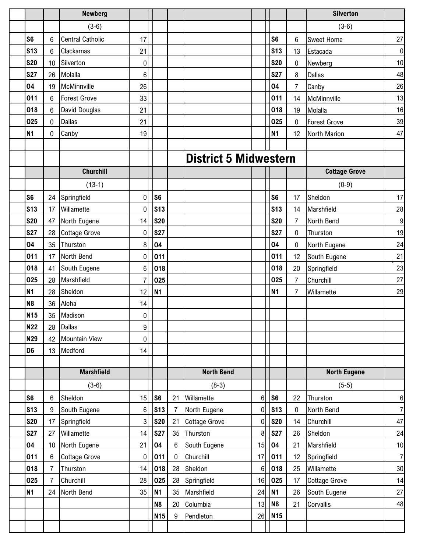|                |                 | <b>Newberg</b>          |                  |                |             |                              |                |                 |                | <b>Silverton</b>     |                  |
|----------------|-----------------|-------------------------|------------------|----------------|-------------|------------------------------|----------------|-----------------|----------------|----------------------|------------------|
|                |                 | $(3-6)$                 |                  |                |             |                              |                |                 |                | $(3-6)$              |                  |
| S <sub>6</sub> | $6\phantom{1}6$ | <b>Central Catholic</b> | 17               |                |             |                              |                | S <sub>6</sub>  | 6              | <b>Sweet Home</b>    | $27\,$           |
| <b>S13</b>     | $6\phantom{1}$  | Clackamas               | 21               |                |             |                              |                | <b>S13</b>      | 13             | Estacada             | $\pmb{0}$        |
| <b>S20</b>     | 10              | Silverton               | $\mathbf 0$      |                |             |                              |                | <b>S20</b>      | 0              | Newberg              | 10               |
| <b>S27</b>     | 26              | Molalla                 | $6\phantom{1}6$  |                |             |                              |                | <b>S27</b>      | 8              | Dallas               | 48               |
| 04             | 19              | McMinnville             | 26               |                |             |                              |                | 04              | 7              | Canby                | 26               |
| 011            | 6               | <b>Forest Grove</b>     | 33               |                |             |                              |                | 011             | 14             | McMinnville          | 13               |
| 018            | 6               | David Douglas           | 21               |                |             |                              |                | 018             | 19             | Molalla              | 16               |
| 025            | $\pmb{0}$       | <b>Dallas</b>           | 21               |                |             |                              |                | 025             | $\pmb{0}$      | <b>Forest Grove</b>  | 39               |
| <b>N1</b>      | 0               | Canby                   | 19               |                |             |                              |                | <b>N1</b>       | 12             | North Marion         | 47               |
|                |                 |                         |                  |                |             |                              |                |                 |                |                      |                  |
|                |                 |                         |                  |                |             | <b>District 5 Midwestern</b> |                |                 |                |                      |                  |
|                |                 | <b>Churchill</b>        |                  |                |             |                              |                |                 |                | <b>Cottage Grove</b> |                  |
|                |                 | $(13-1)$                |                  |                |             |                              |                |                 |                | $(0-9)$              |                  |
| S <sub>6</sub> | 24              | Springfield             | 0                | S <sub>6</sub> |             |                              |                | S <sub>6</sub>  | 17             | Sheldon              | 17               |
| <b>S13</b>     | 17              | Willamette              | 0                | <b>S13</b>     |             |                              |                | S <sub>13</sub> | 14             | Marshfield           | 28               |
| <b>S20</b>     | 47              | North Eugene            | 14               | <b>S20</b>     |             |                              |                | <b>S20</b>      | $\overline{7}$ | North Bend           | $\boldsymbol{9}$ |
| <b>S27</b>     | 28              | <b>Cottage Grove</b>    | 0                | <b>S27</b>     |             |                              |                | <b>S27</b>      | $\pmb{0}$      | Thurston             | 19               |
| 04             | 35              | Thurston                | 8                | 04             |             |                              |                | 04              | $\pmb{0}$      | North Eugene         | 24               |
| 011            | 17              | North Bend              | $\mathbf 0$      | 011            |             |                              |                | 011             | 12             | South Eugene         | 21               |
| 018            | 41              | South Eugene            | $6\phantom{1}6$  | 018            |             |                              |                | 018             | 20             | Springfield          | 23               |
| 025            | 28              | Marshfield              | 7                | 025            |             |                              |                | 025             | $\overline{7}$ | Churchill            | 27               |
| <b>N1</b>      | 28              | Sheldon                 | 12               | <b>N1</b>      |             |                              |                | <b>N1</b>       | 7              | Willamette           | 29               |
| <b>N8</b>      | 36              | Aloha                   | 14               |                |             |                              |                |                 |                |                      |                  |
| <b>N15</b>     | 35              | Madison                 | $\boldsymbol{0}$ |                |             |                              |                |                 |                |                      |                  |
| <b>N22</b>     | 28              | <b>Dallas</b>           | 9                |                |             |                              |                |                 |                |                      |                  |
| <b>N29</b>     | 42              | <b>Mountain View</b>    | $\boldsymbol{0}$ |                |             |                              |                |                 |                |                      |                  |
| D <sub>6</sub> | 13              | Medford                 | 14               |                |             |                              |                |                 |                |                      |                  |
|                |                 |                         |                  |                |             |                              |                |                 |                |                      |                  |
|                |                 | <b>Marshfield</b>       |                  |                |             | <b>North Bend</b>            |                |                 |                | <b>North Eugene</b>  |                  |
|                |                 | $(3-6)$                 |                  |                |             | $(8-3)$                      |                |                 |                | $(5-5)$              |                  |
| S <sub>6</sub> | 6               | Sheldon                 | 15               | S <sub>6</sub> | 21          | Willamette                   | 6 <sup>1</sup> | S <sub>6</sub>  | 22             | Thurston             | 6                |
| <b>S13</b>     | 9               | South Eugene            | 6                | <b>S13</b>     | 7           | North Eugene                 | 0              | <b>S13</b>      | 0              | North Bend           | $\overline{7}$   |
| <b>S20</b>     | 17              | Springfield             | 3                | <b>S20</b>     | 21          | <b>Cottage Grove</b>         | 0              | <b>S20</b>      | 14             | Churchill            | 47               |
| <b>S27</b>     | 27              | Willamette              | 14               | <b>S27</b>     | 35          | Thurston                     | 8              | <b>S27</b>      | 26             | Sheldon              | 24               |
| 04             | 10              | North Eugene            | 21               | 04             | 6           | South Eugene                 | 15             | 04              | 21             | Marshfield           | 10               |
| 011            | $\,6\,$         | <b>Cottage Grove</b>    | $\mathbf 0$      | 011            | $\mathbf 0$ | Churchill                    | 17             | 011             | 12             | Springfield          | $\overline{7}$   |
| 018            | $\overline{7}$  | Thurston                | 14               | 018            | 28          | Sheldon                      | $\,6$          | 018             | 25             | Willamette           | $30\,$           |
| 025            | $\overline{7}$  | Churchill               | 28               | 025            | 28          | Springfield                  | 16             | 025             | 17             | <b>Cottage Grove</b> | 14               |
| <b>N1</b>      | 24              | North Bend              | 35               | <b>N1</b>      | 35          | Marshfield                   | 24             | <b>N1</b>       | 26             | South Eugene         | 27               |
|                |                 |                         |                  | N <sub>8</sub> | 20          | Columbia                     | 13             | N <sub>8</sub>  | 21             | Corvallis            | 48               |
|                |                 |                         |                  | <b>N15</b>     | 9           | Pendleton                    | 26             | <b>N15</b>      |                |                      |                  |
|                |                 |                         |                  |                |             |                              |                |                 |                |                      |                  |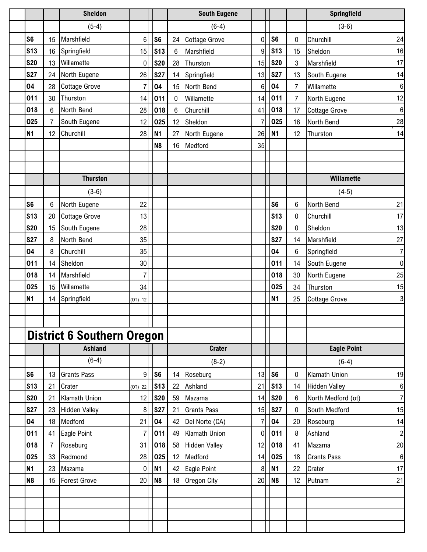|                |                | <b>Sheldon</b>                    |                 |                |                 | <b>South Eugene</b>  |                  |                 |                | Springfield          |                         |
|----------------|----------------|-----------------------------------|-----------------|----------------|-----------------|----------------------|------------------|-----------------|----------------|----------------------|-------------------------|
|                |                | $(5-4)$                           |                 |                |                 | $(6-4)$              |                  |                 |                | $(3-6)$              |                         |
| S <sub>6</sub> | 15             | Marshfield                        | 6 <sup>1</sup>  | S <sub>6</sub> | 24              | <b>Cottage Grove</b> | 0                | S <sub>6</sub>  | 0              | Churchill            | 24                      |
| <b>S13</b>     | 16             | Springfield                       | 15              | <b>S13</b>     | 6               | Marshfield           | 9                | <b>S13</b>      | 15             | Sheldon              | 16                      |
| <b>S20</b>     | 13             | Willamette                        | $\overline{0}$  | <b>S20</b>     | 28              | Thurston             | 15               | <b>S20</b>      | 3              | Marshfield           | 17                      |
| <b>S27</b>     | 24             | North Eugene                      | 26              | <b>S27</b>     | 14              | Springfield          | 13               | <b>S27</b>      | 13             | South Eugene         | 14                      |
| 04             | 28             | <b>Cottage Grove</b>              | 7               | 04             | 15              | North Bend           | 6                | 04              | $\overline{7}$ | Willamette           | $\,6\,$                 |
| 011            | 30             | Thurston                          | 14              | 011            | 0               | Willamette           | 14               | 011             | $\overline{7}$ | North Eugene         | 12                      |
| 018            | $\,6\,$        | North Bend                        | 28              | 018            | $6\phantom{1}6$ | Churchill            | 41               | 018             | 17             | Cottage Grove        | $\,6\,$                 |
| 025            | $\overline{7}$ | South Eugene                      | 12              | 025            | 12              | Sheldon              |                  | 025             | 16             | North Bend           | 28                      |
| <b>N1</b>      | 12             | Churchill                         | 28              | N <sub>1</sub> | 27              | North Eugene         | 26               | <b>N1</b>       | 12             | Thurston             | 14                      |
|                |                |                                   |                 | N <sub>8</sub> | 16              | Medford              | 35               |                 |                |                      |                         |
|                |                |                                   |                 |                |                 |                      |                  |                 |                |                      |                         |
|                |                |                                   |                 |                |                 |                      |                  |                 |                |                      |                         |
|                |                | <b>Thurston</b>                   |                 |                |                 |                      |                  |                 |                | Willamette           |                         |
|                |                | $(3-6)$                           |                 |                |                 |                      |                  |                 |                | $(4-5)$              |                         |
| S <sub>6</sub> | $6\phantom{1}$ | North Eugene                      | 22              |                |                 |                      |                  | S <sub>6</sub>  | $6\phantom{1}$ | North Bend           | 21                      |
| <b>S13</b>     | 20             | <b>Cottage Grove</b>              | 13              |                |                 |                      |                  | S <sub>13</sub> | 0              | Churchill            | 17                      |
| <b>S20</b>     | 15             | South Eugene                      | 28              |                |                 |                      |                  | <b>S20</b>      | 0              | Sheldon              | 13                      |
| <b>S27</b>     | 8              | North Bend                        | 35              |                |                 |                      |                  | <b>S27</b>      | 14             | Marshfield           | 27                      |
| 04             | 8              | Churchill                         | 35              |                |                 |                      |                  | 04              | 6              | Springfield          | $\overline{7}$          |
| 011            | 14             | Sheldon                           | 30 <sup>°</sup> |                |                 |                      |                  | 011             | 14             | South Eugene         | $\pmb{0}$               |
| 018            | 14             | Marshfield                        | $\overline{7}$  |                |                 |                      |                  | 018             | 30             | North Eugene         | 25                      |
| 025            | 15             | Willamette                        | 34              |                |                 |                      |                  | 025             | 34             | Thurston             | 15                      |
| <b>N1</b>      | 14             | Springfield                       | $(0T)$ 12       |                |                 |                      |                  | <b>N1</b>       | 25             | <b>Cottage Grove</b> | 3                       |
|                |                |                                   |                 |                |                 |                      |                  |                 |                |                      |                         |
|                |                |                                   |                 |                |                 |                      |                  |                 |                |                      |                         |
|                |                | <b>District 6 Southern Oregon</b> |                 |                |                 |                      |                  |                 |                |                      |                         |
|                |                | <b>Ashland</b>                    |                 |                |                 | <b>Crater</b>        |                  |                 |                | <b>Eagle Point</b>   |                         |
|                |                | $(6-4)$                           |                 |                |                 | $(8-2)$              |                  |                 |                | $(6-4)$              |                         |
| S <sub>6</sub> | 13             | <b>Grants Pass</b>                | 9 <sub>l</sub>  | S6             | 14              | Roseburg             | 13               | S <sub>6</sub>  | 0              | Klamath Union        | 19                      |
| <b>S13</b>     | 21             | Crater                            | (0T) 22         | <b>S13</b>     | 22              | Ashland              | 21               | S <sub>13</sub> | 14             | <b>Hidden Valley</b> | 6                       |
| <b>S20</b>     | 21             | Klamath Union                     | 12              | <b>S20</b>     | 59              | Mazama               | 14               | <b>S20</b>      | 6              | North Medford (ot)   | $\overline{7}$          |
| <b>S27</b>     | 23             | <b>Hidden Valley</b>              | 8 <sup>1</sup>  | <b>S27</b>     | 21              | <b>Grants Pass</b>   | 15               | <b>S27</b>      | 0              | South Medford        | 15                      |
| 04             | 18             | Medford                           | 21              | 04             | 42              | Del Norte (CA)       | 7                | 04              | 20             | Roseburg             | 14                      |
| 011            | 41             | Eagle Point                       | 7               | 011            | 49              | Klamath Union        | $\boldsymbol{0}$ | 011             | 8              | Ashland              | $\overline{\mathbf{c}}$ |
| 018            | $\overline{7}$ | Roseburg                          | 31              | 018            | 58              | <b>Hidden Valley</b> | 12               | 018             | 41             | Mazama               | 20                      |
| 025            | 33             | Redmond                           | 28              | 025            | 12              | Medford              | 14               | 025             | 18             | <b>Grants Pass</b>   | $\,6$                   |
| N1             | 23             | Mazama                            | $\overline{0}$  | <b>N1</b>      | 42              | Eagle Point          | 8                | <b>N1</b>       | 22             | Crater               | 17                      |
| N <sub>8</sub> | 15             | <b>Forest Grove</b>               | 20              | N <sub>8</sub> | 18              | Oregon City          | 20               | N <sub>8</sub>  | 12             | Putnam               | 21                      |
|                |                |                                   |                 |                |                 |                      |                  |                 |                |                      |                         |
|                |                |                                   |                 |                |                 |                      |                  |                 |                |                      |                         |
|                |                |                                   |                 |                |                 |                      |                  |                 |                |                      |                         |
|                |                |                                   |                 |                |                 |                      |                  |                 |                |                      |                         |
|                |                |                                   |                 |                |                 |                      |                  |                 |                |                      |                         |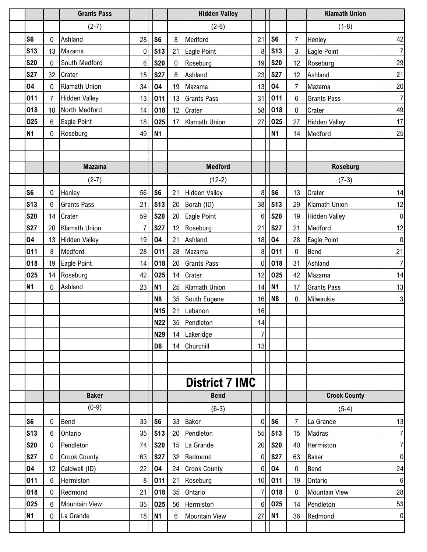|                          |                | <b>Grants Pass</b>                   |                  |                          |              | <b>Hidden Valley</b>           |                     |                          |                | <b>Klamath Union</b>      |                     |
|--------------------------|----------------|--------------------------------------|------------------|--------------------------|--------------|--------------------------------|---------------------|--------------------------|----------------|---------------------------|---------------------|
|                          |                | $(2-7)$                              |                  |                          |              | $(2-6)$                        |                     |                          |                | $(1-8)$                   |                     |
| S <sub>6</sub>           | 0              | Ashland                              | 28               | S <sub>6</sub>           | 8            | Medford                        | 21                  | S <sub>6</sub>           | $\overline{7}$ | Henley                    | 42                  |
| <b>S13</b>               | 13             | Mazama                               | $\boldsymbol{0}$ | S <sub>13</sub>          | 21           | Eagle Point                    | 8                   | S <sub>13</sub>          | 3              | Eagle Point               | $\overline{7}$      |
| <b>S20</b>               | $\mathbf 0$    | South Medford                        | 6                | <b>S20</b>               | $\mathbf{0}$ | Roseburg                       | 19                  | <b>S20</b>               | 12             | Roseburg                  | 29                  |
| <b>S27</b>               | 32             | Crater                               | 15               | <b>S27</b>               | 8            | Ashland                        | 23                  | <b>S27</b>               | 12             | Ashland                   | 21                  |
| 04                       | 0              | Klamath Union                        | 34               | 04                       | 19           | Mazama                         | 13                  | 04                       | $\overline{7}$ | Mazama                    | 20                  |
| 011                      | $\overline{7}$ | <b>Hidden Valley</b>                 | 13               | 011                      | 13           | <b>Grants Pass</b>             | 31                  | 011                      | 6              | <b>Grants Pass</b>        | $\boldsymbol{7}$    |
| 018                      | 10             | North Medford                        | 14               | 018                      | 12           | Crater                         | 58                  | 018                      | 0              | Crater                    | 49                  |
| 025                      | 6              | Eagle Point                          | 18               | 025                      | 17           | Klamath Union                  | 27                  | 025                      | 27             | <b>Hidden Valley</b>      | 17                  |
| <b>N1</b>                | 0              | Roseburg                             | 49               | <b>N1</b>                |              |                                |                     | N <sub>1</sub>           | 14             | Medford                   | 25                  |
|                          |                |                                      |                  |                          |              |                                |                     |                          |                |                           |                     |
|                          |                |                                      |                  |                          |              |                                |                     |                          |                |                           |                     |
|                          |                | <b>Mazama</b>                        |                  |                          |              | <b>Medford</b>                 |                     |                          |                | <b>Roseburg</b>           |                     |
|                          |                | $(2-7)$                              |                  |                          |              | $(12-2)$                       |                     |                          |                | $(7-3)$                   |                     |
| S <sub>6</sub>           | $\mathbf 0$    | Henley                               | 56               | S <sub>6</sub>           | 21           | <b>Hidden Valley</b>           | 8                   | S <sub>6</sub>           | 13             | Crater                    | 14                  |
| <b>S13</b>               | 6              | <b>Grants Pass</b>                   | 21               | <b>S13</b>               | 20           | Borah (ID)                     | 38                  | S <sub>13</sub>          | 29             | Klamath Union             | 12                  |
| <b>S20</b>               | 14             | Crater                               | 59               | <b>S20</b>               | 20           | Eagle Point                    | 6                   | <b>S20</b>               | 19             | <b>Hidden Valley</b>      | $\boldsymbol{0}$    |
| <b>S27</b>               | 20             | <b>Klamath Union</b>                 | 7                | <b>S27</b>               | 12           | Roseburg                       | 21                  | <b>S27</b>               | 21             | Medford                   | 12                  |
| 04                       | 13             | <b>Hidden Valley</b>                 | 19               | 04                       | 21           | Ashland                        | 18                  | 04                       | 28             | Eagle Point               | $\mathbf 0$         |
| 011                      | 8              | Medford                              | 28               | 011                      | 28           | Mazama                         | 8                   | 011                      | $\pmb{0}$      | Bend                      | 21                  |
| 018                      | 19             | Eagle Point                          | 14               | 018                      | 20           | <b>Grants Pass</b>             | $\mathbf{0}$        | 018                      | 31             | Ashland                   | $\overline{7}$      |
| 025                      | 14             | Roseburg                             | 42               | 025                      | 14           | Crater                         | 12                  | 025                      | 42             | Mazama                    | 14                  |
| <b>N1</b>                | 0              | Ashland                              | 23               | <b>N1</b>                | 25           | Klamath Union                  | 14                  | N <sub>1</sub>           | 17             | <b>Grants Pass</b>        | 13                  |
|                          |                |                                      |                  | N <sub>8</sub>           |              | 35 South Eugene                | 16                  | N <sub>8</sub>           | $\pmb{0}$      | Milwaukie                 | 3                   |
|                          |                |                                      |                  | <b>N15</b><br><b>N22</b> | 21           | Lebanon<br>35 Pendleton        | 16<br>14            |                          |                |                           |                     |
|                          |                |                                      |                  | <b>N29</b>               | 14           |                                | $\overline{7}$      |                          |                |                           |                     |
|                          |                |                                      |                  | D <sub>6</sub>           | 14           | Lakeridge<br>Churchill         | 13                  |                          |                |                           |                     |
|                          |                |                                      |                  |                          |              |                                |                     |                          |                |                           |                     |
|                          |                |                                      |                  |                          |              |                                |                     |                          |                |                           |                     |
|                          |                |                                      |                  |                          |              | <b>District 7 IMC</b>          |                     |                          |                |                           |                     |
|                          |                | <b>Baker</b>                         |                  |                          |              | <b>Bend</b>                    |                     |                          |                | <b>Crook County</b>       |                     |
|                          |                | $(0-9)$                              |                  |                          |              |                                |                     |                          |                |                           |                     |
|                          |                |                                      |                  |                          |              | $(6-3)$                        |                     |                          |                | $(5-4)$                   |                     |
| S <sub>6</sub>           | 0              | Bend                                 | 33               | S <sub>6</sub>           | 33           | <b>Baker</b>                   | 0                   | S <sub>6</sub>           | $\overline{7}$ | La Grande                 | 13                  |
| <b>S13</b><br><b>S20</b> | 6              | Ontario                              | 35               | S <sub>13</sub>          | 20           | Pendleton                      | 55                  | $\sqrt{\text{S}}$ 13     | 15             | Madras                    | 7<br>$\overline{7}$ |
| <b>S27</b>               | 0              | Pendleton                            | 74<br>63         | <b>S20</b>               | 15<br>32     | La Grande                      | 20                  | <b>S20</b><br><b>S27</b> | 40             | Hermiston<br><b>Baker</b> | $\pmb{0}$           |
| 04                       | 0<br>12        | <b>Crook County</b><br>Caldwell (ID) | 22               | <b>S27</b><br>04         | 24           | Redmond<br><b>Crook County</b> | 0<br>$\overline{0}$ | 04                       | 63<br>0        | Bend                      | 24                  |
| 011                      | 6              | Hermiston                            | 8                | 011                      | 21           |                                | 10                  | 011                      | 19             | Ontario                   |                     |
| 018                      | 0              | Redmond                              | 21               | 018                      | 35           | Roseburg<br>Ontario            | 7                   | 018                      | 0              | <b>Mountain View</b>      | $\,6\,$<br>28       |
| 025                      | 6              | <b>Mountain View</b>                 | 35               | 025                      | 56           | Hermiston                      | 6                   | 025                      | 14             | Pendleton                 | 53                  |
| <b>N1</b>                | 0              | La Grande                            | 18               | N <sub>1</sub>           | 6            | <b>Mountain View</b>           | 27                  | N <sub>1</sub>           | 36             | Redmond                   | $\boldsymbol{0}$    |
|                          |                |                                      |                  |                          |              |                                |                     |                          |                |                           |                     |
|                          |                |                                      |                  |                          |              |                                |                     |                          |                |                           |                     |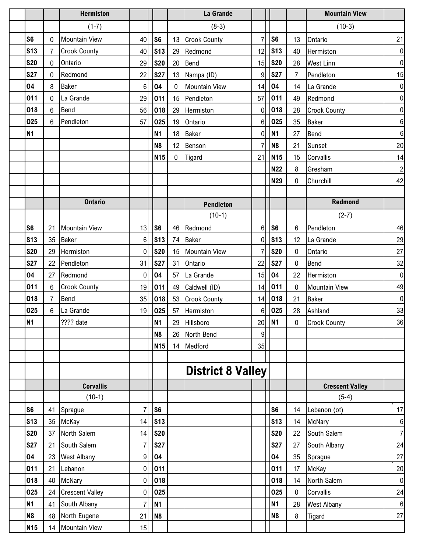|                 |                | <b>Hermiston</b>       |                 |                |              | La Grande                |          |                 |                | <b>Mountain View</b>   |                         |
|-----------------|----------------|------------------------|-----------------|----------------|--------------|--------------------------|----------|-----------------|----------------|------------------------|-------------------------|
|                 |                | $(1-7)$                |                 |                |              | $(8-3)$                  |          |                 |                | $(10-3)$               |                         |
| S <sub>6</sub>  | 0              | <b>Mountain View</b>   | 40              | S <sub>6</sub> | 13           | <b>Crook County</b>      |          | S <sub>6</sub>  | 13             | Ontario                | 21                      |
| S13             | $\overline{7}$ | <b>Crook County</b>    | 40              | <b>S13</b>     | 29           | Redmond                  | 12       | <b>S13</b>      | 40             | Hermiston              | $\boldsymbol{0}$        |
| <b>S20</b>      | 0              | Ontario                | 29              | <b>S20</b>     | 20           | Bend                     | 15       | <b>S20</b>      | 28             | <b>West Linn</b>       | $\pmb{0}$               |
| <b>S27</b>      | 0              | Redmond                | 22              | <b>S27</b>     | 13           | Nampa (ID)               | 9        | <b>S27</b>      | $\overline{7}$ | Pendleton              | 15                      |
| 04              | 8              | <b>Baker</b>           | $6\phantom{1}6$ | 04             | $\Omega$     | <b>Mountain View</b>     | 14       | 04              | 14             | La Grande              | $\pmb{0}$               |
| 011             | 0              | La Grande              | 29              | 011            | 15           | Pendleton                | 57       | 011             | 49             | Redmond                | $\pmb{0}$               |
| 018             | 6              | Bend                   | 56              | 018            | 29           | Hermiston                | 0        | 018             | 28             | <b>Crook County</b>    | $\overline{0}$          |
| 025             | $6\phantom{1}$ | Pendleton              | 57              | 025            | 19           | Ontario                  | 6        | 025             | 35             | <b>Baker</b>           | $\bf 6$                 |
| <b>N1</b>       |                |                        |                 | <b>N1</b>      | 18           | <b>Baker</b>             | 0        | N <sub>1</sub>  | 27             | <b>Bend</b>            | $\,6$                   |
|                 |                |                        |                 | N <sub>8</sub> | 12           | Benson                   |          | N <sub>8</sub>  | 21             | Sunset                 | $20\,$                  |
|                 |                |                        |                 | <b>N15</b>     | $\mathbf{0}$ | Tigard                   | 21       | N <sub>15</sub> | 15             | Corvallis              | 14                      |
|                 |                |                        |                 |                |              |                          |          | <b>N22</b>      | 8              | Gresham                | $\overline{\mathbf{c}}$ |
|                 |                |                        |                 |                |              |                          |          | <b>N29</b>      | 0              | Churchill              | 42                      |
|                 |                |                        |                 |                |              |                          |          |                 |                |                        |                         |
|                 |                | <b>Ontario</b>         |                 |                |              | <b>Pendleton</b>         |          |                 |                | Redmond                |                         |
|                 |                |                        |                 |                |              | $(10-1)$                 |          |                 |                | $(2-7)$                |                         |
| S <sub>6</sub>  | 21             | <b>Mountain View</b>   | 13              | S <sub>6</sub> | 46           | Redmond                  | 6        | S <sub>6</sub>  | 6              | Pendleton              | 46                      |
| S <sub>13</sub> | 35             | <b>Baker</b>           | 6               | <b>S13</b>     | 74           | <b>Baker</b>             | $\Omega$ | S <sub>13</sub> | 12             | La Grande              | 29                      |
| <b>S20</b>      | 29             | Hermiston              | $\mathbf 0$     | <b>S20</b>     | 15           | <b>Mountain View</b>     |          | <b>S20</b>      | 0              | Ontario                | 27                      |
| <b>S27</b>      | 22             | Pendleton              | 31              | <b>S27</b>     | 31           | Ontario                  | 22       | <b>S27</b>      | $\pmb{0}$      | Bend                   | 32                      |
| 04              | 27             | Redmond                | 0               | 04             | 57           | La Grande                | 15       | 04              | 22             | Hermiston              | $\pmb{0}$               |
| 011             | 6              | <b>Crook County</b>    | 19              | 011            | 49           | Caldwell (ID)            | 14       | 011             | $\mathbf 0$    | <b>Mountain View</b>   | 49                      |
| 018             | $\overline{7}$ | Bend                   | 35              | 018            |              | 53 Crook County          | 14       | 018             | 21             | <b>Baker</b>           | $\mathbf 0$             |
| 025             | 6              | La Grande              | 19              | 025            | 57           | Hermiston                | 6        | 025             | 28             | Ashland                | 33                      |
| <b>N1</b>       |                | ???? date              |                 | <b>N1</b>      |              | 29 Hillsboro             |          | $20$ N1         | $\mathbf{0}$   | <b>Crook County</b>    | 36                      |
|                 |                |                        |                 | <b>N8</b>      | 26           | North Bend               | 9        |                 |                |                        |                         |
|                 |                |                        |                 | <b>N15</b>     |              | 14 Medford               | 35       |                 |                |                        |                         |
|                 |                |                        |                 |                |              |                          |          |                 |                |                        |                         |
|                 |                |                        |                 |                |              | <b>District 8 Valley</b> |          |                 |                |                        |                         |
|                 |                | <b>Corvallis</b>       |                 |                |              |                          |          |                 |                | <b>Crescent Valley</b> |                         |
|                 |                | $(10-1)$               |                 |                |              |                          |          |                 |                | $(5-4)$                |                         |
| S <sub>6</sub>  | 41             | Sprague                | 7               | S <sub>6</sub> |              |                          |          | S <sub>6</sub>  | 14             | Lebanon (ot)           | $17\,$                  |
| <b>S13</b>      | 35             | McKay                  | 14              | <b>S13</b>     |              |                          |          | S <sub>13</sub> | 14             | McNary                 | $\bf 6$                 |
| <b>S20</b>      | 37             | North Salem            | 14              | <b>S20</b>     |              |                          |          | <b>S20</b>      | 22             | South Salem            | $\overline{7}$          |
| <b>S27</b>      | 21             | South Salem            | 7               | <b>S27</b>     |              |                          |          | <b>S27</b>      | 27             | South Albany           | 24                      |
| 04              | 23             | <b>West Albany</b>     | 9               | 04             |              |                          |          | 04              | 35             | Sprague                | 27                      |
| 011             | 21             | Lebanon                | $\mathbf 0$     | 011            |              |                          |          | 011             | 17             | McKay                  | $20\,$                  |
| 018             | 40             | McNary                 | $\mathbf 0$     | 018            |              |                          |          | 018             | 14             | North Salem            | $\pmb{0}$               |
| 025             | 24             | <b>Crescent Valley</b> | 0               | 025            |              |                          |          | 025             | $\pmb{0}$      | Corvallis              | 24                      |
| <b>N1</b>       | 41             | South Albany           | 7               | <b>N1</b>      |              |                          |          | <b>N1</b>       | 28             | <b>West Albany</b>     | $\,6\,$                 |
| <b>N8</b>       | 48             | North Eugene           | 21              | N <sub>8</sub> |              |                          |          | N <sub>8</sub>  | 8              | Tigard                 | 27                      |
| <b>N15</b>      | 14             | <b>Mountain View</b>   | 15              |                |              |                          |          |                 |                |                        |                         |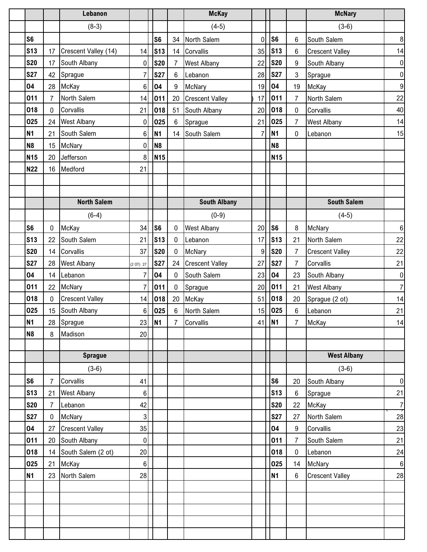|                |                 |                | Lebanon                |                  |                |                | <b>McKay</b>           |              |                 |                | <b>McNary</b>          |                  |
|----------------|-----------------|----------------|------------------------|------------------|----------------|----------------|------------------------|--------------|-----------------|----------------|------------------------|------------------|
|                |                 |                | $(8-3)$                |                  |                |                | $(4-5)$                |              |                 |                | $(3-6)$                |                  |
| S <sub>6</sub> |                 |                |                        |                  | S <sub>6</sub> | 34             | North Salem            | $\mathbf{0}$ | S <sub>6</sub>  | 6              | South Salem            | 8                |
|                | <b>S13</b>      | 17             | Crescent Valley (14)   | 14               | <b>S13</b>     | 14             | Corvallis              | 35           | S <sub>13</sub> | 6              | <b>Crescent Valley</b> | 14               |
|                | <b>S20</b>      | 17             | South Albany           | 0                | <b>S20</b>     | $\overline{7}$ | <b>West Albany</b>     | 22           | <b>S20</b>      | 9              | South Albany           | $\pmb{0}$        |
|                | <b>S27</b>      | 42             | Sprague                | 7                | <b>S27</b>     | 6              | Lebanon                | 28           | <b>S27</b>      | $\mathbf{3}$   | Sprague                | $\boldsymbol{0}$ |
|                | 04              | 28             | McKay                  | 6                | 04             | 9              | McNary                 | 19           | 04              | 19             | McKay                  | $\boldsymbol{9}$ |
|                | 011             | $\overline{7}$ | North Salem            | 14               | 011            | 20             | <b>Crescent Valley</b> | 17           | 011             | $\overline{7}$ | North Salem            | 22               |
|                | 018             | 0              | Corvallis              | 21               | 018            | 51             | South Albany           | 20           | 018             | 0              | Corvallis              | 40               |
|                | 025             | 24             | <b>West Albany</b>     | $\mathbf 0$      | 025            | 6              | Sprague                | 21           | 025             | $\overline{7}$ | <b>West Albany</b>     | 14               |
|                | <b>N1</b>       | 21             | South Salem            | 6                | <b>N1</b>      | 14             | South Salem            |              | <b>N1</b>       | 0              | Lebanon                | 15               |
|                | <b>N8</b>       | 15             | McNary                 | 0                | N <sub>8</sub> |                |                        |              | N <sub>8</sub>  |                |                        |                  |
|                | <b>N15</b>      | 20             | Jefferson              | 8                | <b>N15</b>     |                |                        |              | <b>N15</b>      |                |                        |                  |
|                | <b>N22</b>      | 16             | Medford                | 21               |                |                |                        |              |                 |                |                        |                  |
|                |                 |                |                        |                  |                |                |                        |              |                 |                |                        |                  |
|                |                 |                |                        |                  |                |                |                        |              |                 |                |                        |                  |
|                |                 |                | <b>North Salem</b>     |                  |                |                | <b>South Albany</b>    |              |                 |                | <b>South Salem</b>     |                  |
|                |                 |                | $(6-4)$                |                  |                |                | $(0-9)$                |              |                 |                | $(4-5)$                |                  |
| S <sub>6</sub> |                 | 0              | McKay                  | 34               | S <sub>6</sub> | 0              | <b>West Albany</b>     | 20           | S <sub>6</sub>  | 8              | McNary                 | 6                |
|                | <b>S13</b>      | 22             | South Salem            | 21               | <b>S13</b>     | $\mathbf{0}$   | Lebanon                | 17           | <b>S13</b>      | 21             | North Salem            | 22               |
|                | <b>S20</b>      | 14             | Corvallis              | 37               | <b>S20</b>     | $\mathbf 0$    | McNary                 | 9            | <b>S20</b>      | $\overline{7}$ | <b>Crescent Valley</b> | 22               |
|                | <b>S27</b>      | 28             | <b>West Albany</b>     | (2 OT) 27        | <b>S27</b>     | 24             | <b>Crescent Valley</b> | 27           | <b>S27</b>      | $\overline{7}$ | Corvallis              | 21               |
|                | 04              | 14             | Lebanon                | 7                | 04             | $\mathbf{0}$   | South Salem            | 23           | 04              | 23             | South Albany           | $\pmb{0}$        |
|                | 011             | 22             | McNary                 | 7                | 011            | 0              | Sprague                | 20           | 011             | 21             | <b>West Albany</b>     | $\boldsymbol{7}$ |
|                | 018             | 0              | <b>Crescent Valley</b> | 14               | 018            | 20             | McKay                  | 51           | 018             | 20             | Sprague (2 ot)         | 14               |
|                | 025             | 15             | South Albany           | 6                | 025            | 6              | North Salem            | 15           | 025             | 6              | Lebanon                | 21               |
|                | <b>N1</b>       |                | 28 Sprague             |                  | $23$ N1        | $\overline{7}$ | Corvallis              |              | $41$ N1         | $\overline{7}$ | McKay                  | 14               |
|                | N <sub>8</sub>  | 8              | Madison                | 20               |                |                |                        |              |                 |                |                        |                  |
|                |                 |                |                        |                  |                |                |                        |              |                 |                |                        |                  |
|                |                 |                | <b>Sprague</b>         |                  |                |                |                        |              |                 |                | <b>West Albany</b>     |                  |
|                |                 |                | $(3-6)$                |                  |                |                |                        |              |                 |                | $(3-6)$                |                  |
|                | S <sub>6</sub>  | $\overline{7}$ | Corvallis              | 41               |                |                |                        |              | S <sub>6</sub>  | 20             | South Albany           | $\overline{0}$   |
|                | S <sub>13</sub> | 21             | <b>West Albany</b>     | $6 \mid$         |                |                |                        |              | <b>S13</b>      | 6              | Sprague                | 21               |
|                | <b>S20</b>      | $\overline{7}$ | Lebanon                | 42               |                |                |                        |              | <b>S20</b>      | 22             | McKay                  | $\frac{7}{ }$    |
|                | <b>S27</b>      | $\mathbf 0$    | McNary                 | 3                |                |                |                        |              | <b>S27</b>      | 27             | North Salem            | 28               |
|                | 04              | 27             | <b>Crescent Valley</b> | 35               |                |                |                        |              | 04              | 9              | Corvallis              | 23               |
|                | 011             | 20             | South Albany           | $\mathbf 0$      |                |                |                        |              | 011             | $\overline{7}$ | South Salem            | 21               |
|                | 018             | 14             | South Salem (2 ot)     | 20               |                |                |                        |              | 018             | $\mathbf 0$    | Lebanon                | 24               |
|                | 025             | 21             | McKay                  | $6 \overline{6}$ |                |                |                        |              | 025             | 14             | McNary                 | $6 \overline{6}$ |
|                | <b>N1</b>       | 23             | North Salem            | 28               |                |                |                        |              | <b>N1</b>       | 6              | <b>Crescent Valley</b> | 28               |
|                |                 |                |                        |                  |                |                |                        |              |                 |                |                        |                  |
|                |                 |                |                        |                  |                |                |                        |              |                 |                |                        |                  |
|                |                 |                |                        |                  |                |                |                        |              |                 |                |                        |                  |
|                |                 |                |                        |                  |                |                |                        |              |                 |                |                        |                  |
|                |                 |                |                        |                  |                |                |                        |              |                 |                |                        |                  |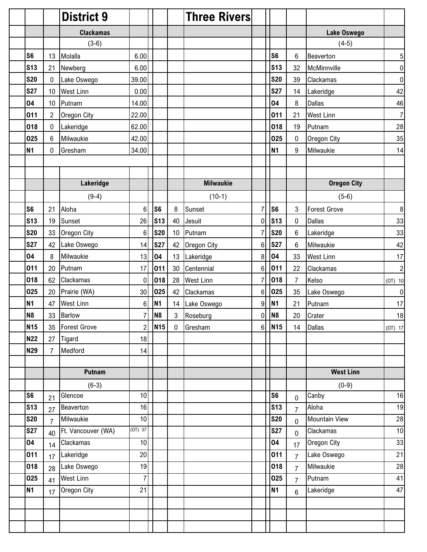|                |                | <b>District 9</b>  |                 |                 |             | <b>Three Rivers</b> |                |                 |                  |                      |                |
|----------------|----------------|--------------------|-----------------|-----------------|-------------|---------------------|----------------|-----------------|------------------|----------------------|----------------|
|                |                | <b>Clackamas</b>   |                 |                 |             |                     |                |                 |                  | Lake Oswego          |                |
|                |                | $(3-6)$            |                 |                 |             |                     |                |                 |                  | $(4-5)$              |                |
| S <sub>6</sub> | 13             | Molalla            | 6.00            |                 |             |                     |                | S <sub>6</sub>  | 6                | Beaverton            | 5              |
| <b>S13</b>     | 21             | Newberg            | 6.00            |                 |             |                     |                | S <sub>13</sub> | 32               | McMinnville          | $\pmb{0}$      |
| <b>S20</b>     | $\pmb{0}$      | Lake Oswego        | 39.00           |                 |             |                     |                | <b>S20</b>      | 39               | Clackamas            | $\pmb{0}$      |
| <b>S27</b>     | 10             | <b>West Linn</b>   | 0.00            |                 |             |                     |                | <b>S27</b>      | 14               | Lakeridge            | 42             |
| 04             | 10             | Putnam             | 14.00           |                 |             |                     |                | 04              | 8                | <b>Dallas</b>        | 46             |
| 011            | $\overline{2}$ | Oregon City        | 22.00           |                 |             |                     |                | 011             | 21               | <b>West Linn</b>     | $\overline{7}$ |
| 018            | 0              | Lakeridge          | 62.00           |                 |             |                     |                | 018             | 19               | Putnam               | 28             |
| 025            | 6              | Milwaukie          | 42.00           |                 |             |                     |                | 025             | 0                | Oregon City          | 35             |
| <b>N1</b>      | 0              | Gresham            | 34.00           |                 |             |                     |                | <b>N1</b>       | $\boldsymbol{9}$ | Milwaukie            | 14             |
|                |                |                    |                 |                 |             |                     |                |                 |                  |                      |                |
|                |                |                    |                 |                 |             |                     |                |                 |                  |                      |                |
|                |                | Lakeridge          |                 |                 |             | <b>Milwaukie</b>    |                |                 |                  | <b>Oregon City</b>   |                |
|                |                | $(9-4)$            |                 |                 |             | $(10-1)$            |                |                 |                  | $(5-6)$              |                |
| S <sub>6</sub> | 21             | Aloha              | 6               | S <sub>6</sub>  | 8           | Sunset              | $\overline{7}$ | S <sub>6</sub>  | 3                | <b>Forest Grove</b>  | $\bf 8$        |
| <b>S13</b>     | 19             | Sunset             | 26              | <b>S13</b>      | 40          | Jesuit              | 0              | <b>S13</b>      | $\pmb{0}$        | <b>Dallas</b>        | 33             |
| <b>S20</b>     | 33             | Oregon City        | $6\phantom{1}6$ | <b>S20</b>      | 10          | Putnam              |                | <b>S20</b>      | $\,6\,$          | Lakeridge            | 33             |
| <b>S27</b>     | 42             | Lake Oswego        | 14              | <b>S27</b>      | 42          | Oregon City         | 6              | <b>S27</b>      | $\,6\,$          | Milwaukie            | 42             |
| 04             | 8              | Milwaukie          | 13              | 04              | 13          | Lakeridge           | 8              | 04              | 33               | <b>West Linn</b>     | 17             |
| 011            | 20             | Putnam             | 17              | 011             | 30          | Centennial          | 6              | 011             | 22               | Clackamas            | $\overline{c}$ |
| 018            | 62             | Clackamas          | $\mathbf 0$     | 018             | 28          | <b>West Linn</b>    | 7              | 018             | $\overline{7}$   | Kelso                | $(OT)$ 10      |
| 025            | 20             | Prairie (WA)       | 30              | 025             | 42          | Clackamas           | 6              | 025             | 35               | Lake Oswego          | $\pmb{0}$      |
| <b>N1</b>      | 47             | <b>West Linn</b>   | 6               | <b>N1</b>       | 14          | Lake Oswego         | 9              | N <sub>1</sub>  | 21               | Putnam               | 17             |
| N <sub>8</sub> | 33             | <b>Barlow</b>      | $\overline{7}$  | N <sub>8</sub>  | 3           | Roseburg            | 0              | N <sub>8</sub>  | 20               | Crater               | 18             |
| <b>N15</b>     | 35             | Forest Grove       | $\overline{a}$  | N <sub>15</sub> | $\mathbf 0$ | Gresham             | $6\vert$       | N <sub>15</sub> | 14               | Dallas               | $(OT)$ 17      |
| <b>N22</b>     | 27             | Tigard             | 18              |                 |             |                     |                |                 |                  |                      |                |
| <b>N29</b>     | $\overline{7}$ | Medford            | 14              |                 |             |                     |                |                 |                  |                      |                |
|                |                |                    |                 |                 |             |                     |                |                 |                  |                      |                |
|                |                | <b>Putnam</b>      |                 |                 |             |                     |                |                 |                  | <b>West Linn</b>     |                |
|                |                | $(6-3)$            |                 |                 |             |                     |                |                 |                  | $(0-9)$              |                |
| S <sub>6</sub> | 21             | Glencoe            | 10              |                 |             |                     |                | S <sub>6</sub>  | 0                | Canby                | 16             |
| <b>S13</b>     | 27             | Beaverton          | 16              |                 |             |                     |                | <b>S13</b>      | $\overline{7}$   | Aloha                | 19             |
| <b>S20</b>     | $\overline{7}$ | Milwaukie          | 10              |                 |             |                     |                | <b>S20</b>      | $\mathbf 0$      | <b>Mountain View</b> | 28             |
| <b>S27</b>     | 40             | Ft. Vancouver (WA) | (0T) 37         |                 |             |                     |                | <b>S27</b>      | $\mathbf 0$      | Clackamas            | 10             |
| 04             | 14             | Clackamas          | 10              |                 |             |                     |                | 04              | 17               | Oregon City          | 33             |
| 011            | 17             | Lakeridge          | 20              |                 |             |                     |                | 011             | $\overline{7}$   | Lake Oswego          | 21             |
| 018            | 28             | Lake Oswego        | 19              |                 |             |                     |                | 018             | $\overline{7}$   | Milwaukie            | $28$           |
| 025            | 41             | <b>West Linn</b>   | $\overline{7}$  |                 |             |                     |                | 025             | $\overline{7}$   | Putnam               | 41             |
| <b>N1</b>      | 17             | Oregon City        | 21              |                 |             |                     |                | <b>N1</b>       | $6\phantom{1}$   | Lakeridge            | 47             |
|                |                |                    |                 |                 |             |                     |                |                 |                  |                      |                |
|                |                |                    |                 |                 |             |                     |                |                 |                  |                      |                |
|                |                |                    |                 |                 |             |                     |                |                 |                  |                      |                |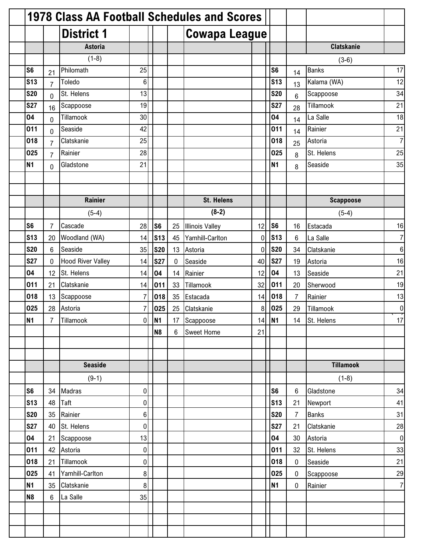|                 |                | <b>1978 Class AA Football Schedules and Scores</b> |                |                |          |                        |    |                 |                 |                   |                 |
|-----------------|----------------|----------------------------------------------------|----------------|----------------|----------|------------------------|----|-----------------|-----------------|-------------------|-----------------|
|                 |                | <b>District 1</b>                                  |                |                |          | <b>Cowapa League</b>   |    |                 |                 |                   |                 |
|                 |                | <b>Astoria</b>                                     |                |                |          |                        |    |                 |                 | <b>Clatskanie</b> |                 |
|                 |                | $(1-8)$                                            |                |                |          |                        |    |                 |                 | $(3-6)$           |                 |
| S <sub>6</sub>  | 21             | Philomath                                          | 25             |                |          |                        |    | S <sub>6</sub>  | 14              | <b>Banks</b>      | 17              |
| S <sub>13</sub> | $\overline{7}$ | Toledo                                             | $\,6\,$        |                |          |                        |    | S <sub>13</sub> | 13              | Kalama (WA)       | 12              |
| <b>S20</b>      | $\overline{0}$ | St. Helens                                         | 13             |                |          |                        |    | <b>S20</b>      | $6\phantom{.}6$ | Scappoose         | 34              |
| <b>S27</b>      | 16             | Scappoose                                          | 19             |                |          |                        |    | <b>S27</b>      | 28              | Tillamook         | 21              |
| 04              | $\overline{0}$ | Tillamook                                          | 30             |                |          |                        |    | 04              | 14              | La Salle          | 18              |
| 011             | $\mathbf 0$    | Seaside                                            | 42             |                |          |                        |    | 011             | 14              | Rainier           | 21              |
| 018             | $\overline{7}$ | Clatskanie                                         | 25             |                |          |                        |    | 018             | 25              | Astoria           | $\overline{7}$  |
| 025             | $\overline{7}$ | Rainier                                            | 28             |                |          |                        |    | 025             | 8               | St. Helens        | 25              |
| N <sub>1</sub>  | 0              | Gladstone                                          | 21             |                |          |                        |    | <b>N1</b>       | 8               | Seaside           | 35              |
|                 |                |                                                    |                |                |          |                        |    |                 |                 |                   |                 |
|                 |                |                                                    |                |                |          |                        |    |                 |                 |                   |                 |
|                 |                | Rainier                                            |                |                |          | <b>St. Helens</b>      |    |                 |                 | <b>Scappoose</b>  |                 |
|                 |                | $(5-4)$                                            |                |                |          | $(8-2)$                |    |                 |                 | $(5-4)$           |                 |
| S <sub>6</sub>  | 7              | Cascade                                            | 28             | S <sub>6</sub> | 25       | <b>Illinois Valley</b> | 12 | S <sub>6</sub>  | 16              | Estacada          | 16              |
| <b>S13</b>      | 20             | Woodland (WA)                                      | 14             | <b>S13</b>     | 45       | Yamhill-Carlton        | 0  | S <sub>13</sub> | 6               | La Salle          |                 |
| <b>S20</b>      | 6              | Seaside                                            | 35             | <b>S20</b>     | 13       | Astoria                | 0  | <b>S20</b>      | 34              | Clatskanie        | 6               |
| <b>S27</b>      | 0              | <b>Hood River Valley</b>                           | 14             | <b>S27</b>     | $\Omega$ | Seaside                | 40 | <b>S27</b>      | 19              | Astoria           | 16              |
| 04              | 12             | St. Helens                                         | 14             | 04             | 14       | Rainier                | 12 | 04              | 13              | Seaside           | 21              |
| 011             | 21             | Clatskanie                                         | 14             | 011            | 33       | Tillamook              | 32 | 011             | 20              | Sherwood          | 19              |
| 018             | 13             | Scappoose                                          | 7              | 018            | 35       | Estacada               | 14 | 018             | $\overline{7}$  | Rainier           | 13              |
| 025             | 28             | Astoria                                            | 7              | 025            | 25       | Clatskanie             | 8  | 025             | 29              | Tillamook         | $\pmb{0}$       |
| <b>N1</b>       | $\overline{7}$ | Tillamook                                          |                | $0$ N1         |          | 17 Scappoose           |    | 14 N1           | 14              | St. Helens        | $\overline{17}$ |
|                 |                |                                                    |                | <b>N8</b>      | 6        | Sweet Home             | 21 |                 |                 |                   |                 |
|                 |                |                                                    |                |                |          |                        |    |                 |                 |                   |                 |
|                 |                |                                                    |                |                |          |                        |    |                 |                 |                   |                 |
|                 |                | <b>Seaside</b>                                     |                |                |          |                        |    |                 |                 | <b>Tillamook</b>  |                 |
|                 |                | $(9-1)$                                            |                |                |          |                        |    |                 |                 | $(1-8)$           |                 |
| S <sub>6</sub>  | 34             | Madras                                             | $\overline{0}$ |                |          |                        |    | S <sub>6</sub>  | 6               | Gladstone         | 34              |
| <b>S13</b>      | 48             | Taft                                               | 0              |                |          |                        |    | <b>S13</b>      | 21              | Newport           | 41              |
| <b>S20</b>      | 35             | Rainier                                            | $6\vert$       |                |          |                        |    | <b>S20</b>      | $\overline{7}$  | <b>Banks</b>      | 31              |
| <b>S27</b>      | 40             | St. Helens                                         | $\mathbf 0$    |                |          |                        |    | <b>S27</b>      | 21              | Clatskanie        | 28              |
| 04              | 21             | Scappoose                                          | 13             |                |          |                        |    | 04              | 30              | Astoria           | $\overline{0}$  |
| 011             | 42             | Astoria                                            | $\overline{0}$ |                |          |                        |    | 011             | 32              | St. Helens        | 33              |
| 018             | 21             | Tillamook                                          | $\mathbf 0$    |                |          |                        |    | 018             | $\mathbf 0$     | Seaside           | 21              |
| 025             | 41             | Yamhill-Carlton                                    | 8 <sup>1</sup> |                |          |                        |    | 025             | $\mathbf 0$     | Scappoose         | 29              |
| <b>N1</b>       | 35             | Clatskanie                                         | 8 <sup>1</sup> |                |          |                        |    | <b>N1</b>       | $\pmb{0}$       | Rainier           | $\overline{7}$  |
| N <sub>8</sub>  | 6              | La Salle                                           | 35             |                |          |                        |    |                 |                 |                   |                 |
|                 |                |                                                    |                |                |          |                        |    |                 |                 |                   |                 |
|                 |                |                                                    |                |                |          |                        |    |                 |                 |                   |                 |
|                 |                |                                                    |                |                |          |                        |    |                 |                 |                   |                 |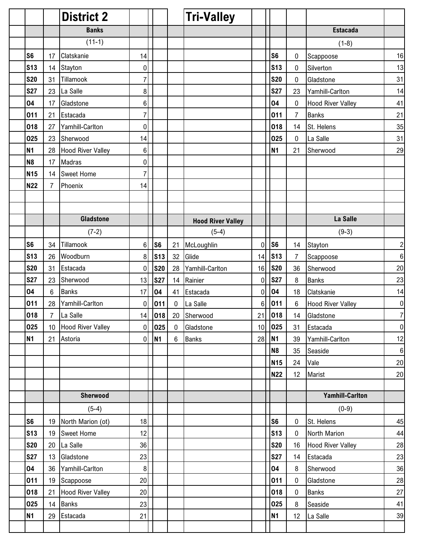|                |                 | <b>District 2</b>        |                 |                |             | <b>Tri-Valley</b>        |                 |                 |                |                          |                  |
|----------------|-----------------|--------------------------|-----------------|----------------|-------------|--------------------------|-----------------|-----------------|----------------|--------------------------|------------------|
|                |                 | <b>Banks</b>             |                 |                |             |                          |                 |                 |                | <b>Estacada</b>          |                  |
|                |                 | $(11-1)$                 |                 |                |             |                          |                 |                 |                | $(1-8)$                  |                  |
| S <sub>6</sub> | 17              | Clatskanie               | 14              |                |             |                          |                 | S <sub>6</sub>  | $\pmb{0}$      | Scappoose                | 16               |
| <b>S13</b>     | 14              | Stayton                  | $\mathbf 0$     |                |             |                          |                 | <b>S13</b>      | 0              | Silverton                | 13               |
| <b>S20</b>     | 31              | Tillamook                | $\overline{7}$  |                |             |                          |                 | <b>S20</b>      | 0              | Gladstone                | 31               |
| <b>S27</b>     | 23              | La Salle                 | 8               |                |             |                          |                 | <b>S27</b>      | 23             | Yamhill-Carlton          | 14               |
| 04             | 17              | Gladstone                | $6\phantom{1}6$ |                |             |                          |                 | 04              | 0              | <b>Hood River Valley</b> | 41               |
| 011            | 21              | Estacada                 | $\overline{7}$  |                |             |                          |                 | 011             | $\overline{7}$ | <b>Banks</b>             | 21               |
| 018            | 27              | Yamhill-Carlton          | $\mathbf 0$     |                |             |                          |                 | 018             | 14             | St. Helens               | 35               |
| 025            | 23              | Sherwood                 | 14              |                |             |                          |                 | 025             | 0              | La Salle                 | 31               |
| <b>N1</b>      | 28              | <b>Hood River Valley</b> | 6               |                |             |                          |                 | <b>N1</b>       | 21             | Sherwood                 | 29               |
| N <sub>8</sub> | 17              | Madras                   | $\mathbf 0$     |                |             |                          |                 |                 |                |                          |                  |
| <b>N15</b>     | 14              | <b>Sweet Home</b>        | $\overline{7}$  |                |             |                          |                 |                 |                |                          |                  |
| <b>N22</b>     | $\overline{7}$  | Phoenix                  | 14              |                |             |                          |                 |                 |                |                          |                  |
|                |                 |                          |                 |                |             |                          |                 |                 |                |                          |                  |
|                |                 |                          |                 |                |             |                          |                 |                 |                |                          |                  |
|                |                 | <b>Gladstone</b>         |                 |                |             | <b>Hood River Valley</b> |                 |                 |                | La Salle                 |                  |
|                |                 | $(7-2)$                  |                 |                |             | $(5-4)$                  |                 |                 |                | $(9-3)$                  |                  |
| S <sub>6</sub> | 34              | Tillamook                | $6\phantom{1}6$ | S <sub>6</sub> | 21          | McLoughlin               | 0               | S <sub>6</sub>  | 14             | Stayton                  | $\overline{c}$   |
| <b>S13</b>     | 26              | Woodburn                 | 8               | <b>S13</b>     | 32          | Glide                    | 14              | S <sub>13</sub> | $\overline{7}$ | Scappoose                | $\,6$            |
| <b>S20</b>     | 31              | Estacada                 | 0               | <b>S20</b>     | 28          | Yamhill-Carlton          | 16              | <b>S20</b>      | 36             | Sherwood                 | 20               |
| <b>S27</b>     | 23              | Sherwood                 | 13              | <b>S27</b>     | 14          | Rainier                  | 0               | <b>S27</b>      | 8              | <b>Banks</b>             | 23               |
| 04             | $6\phantom{1}$  | <b>Banks</b>             | 17              | 04             | 41          | Estacada                 | 0               | 04              | 18             | Clatskanie               | 14               |
| 011            | 28              | Yamhill-Carlton          | 0               | 011            | 0           | La Salle                 | 6               | 011             | 6              | <b>Hood River Valley</b> | $\boldsymbol{0}$ |
| 018            | 7               | La Salle                 | 14              | 018            |             | 20 Sherwood              | 21              | 018             | 14             | Gladstone                | $\overline{7}$   |
| 025            | 10 <sup>°</sup> | <b>Hood River Valley</b> | 0               | 025            | $\mathbf 0$ | Gladstone                | 10 <sup>1</sup> | 025             | 31             | Estacada                 | $\overline{0}$   |
| N <sub>1</sub> | 21              | Astoria                  | $\mathbf 0$     | <b>N1</b>      | 6           | <b>Banks</b>             | 28              | N <sub>1</sub>  | 39             | Yamhill-Carlton          | 12               |
|                |                 |                          |                 |                |             |                          |                 | N <sub>8</sub>  | 35             | Seaside                  | $\boldsymbol{6}$ |
|                |                 |                          |                 |                |             |                          |                 | <b>N15</b>      | 24             | Vale                     | $20\,$           |
|                |                 |                          |                 |                |             |                          |                 | <b>N22</b>      | 12             | Marist                   | $20\,$           |
|                |                 |                          |                 |                |             |                          |                 |                 |                |                          |                  |
|                |                 | Sherwood                 |                 |                |             |                          |                 |                 |                | <b>Yamhill-Carlton</b>   |                  |
|                |                 | $(5-4)$                  |                 |                |             |                          |                 |                 |                | $(0-9)$                  |                  |
| S <sub>6</sub> | 19              | North Marion (ot)        | 18              |                |             |                          |                 | S <sub>6</sub>  | 0              | St. Helens               | 45               |
| <b>S13</b>     | 19              | <b>Sweet Home</b>        | 12              |                |             |                          |                 | <b>S13</b>      | $\pmb{0}$      | North Marion             | 44               |
| <b>S20</b>     | 20              | La Salle                 | 36              |                |             |                          |                 | <b>S20</b>      | 16             | <b>Hood River Valley</b> | 28               |
| <b>S27</b>     | 13              | Gladstone                | 23              |                |             |                          |                 | <b>S27</b>      | 14             | Estacada                 | 23               |
| 04             | 36              | Yamhill-Carlton          | $\bf 8$         |                |             |                          |                 | 04              | 8              | Sherwood                 | 36               |
| 011            | 19              | Scappoose                | 20              |                |             |                          |                 | 011             | $\pmb{0}$      | Gladstone                | 28               |
| 018            | 21              | <b>Hood River Valley</b> | 20              |                |             |                          |                 | 018             | $\pmb{0}$      | <b>Banks</b>             | 27               |
| 025            | 14              | <b>Banks</b>             | 23              |                |             |                          |                 | 025             | 8              | Seaside                  | 41               |
| <b>N1</b>      | 29              | Estacada                 | 21              |                |             |                          |                 | N <sub>1</sub>  | 12             | La Salle                 | 39               |
|                |                 |                          |                 |                |             |                          |                 |                 |                |                          |                  |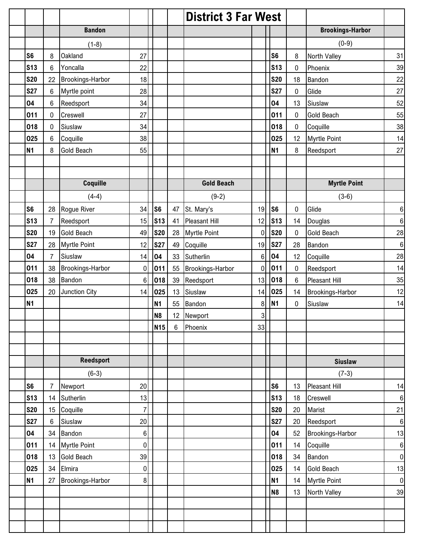|                |                |                         |                  |                |    | <b>District 3 Far West</b> |    |                 |           |                         |                  |
|----------------|----------------|-------------------------|------------------|----------------|----|----------------------------|----|-----------------|-----------|-------------------------|------------------|
|                |                | <b>Bandon</b>           |                  |                |    |                            |    |                 |           | <b>Brookings-Harbor</b> |                  |
|                |                | $(1-8)$                 |                  |                |    |                            |    |                 |           | $(0-9)$                 |                  |
| S <sub>6</sub> | 8              | <b>Oakland</b>          | 27               |                |    |                            |    | S <sub>6</sub>  | 8         | North Valley            | 31               |
| <b>S13</b>     | 6              | Yoncalla                | 22               |                |    |                            |    | S <sub>13</sub> | 0         | Phoenix                 | 39               |
| <b>S20</b>     | 22             | <b>Brookings-Harbor</b> | 18               |                |    |                            |    | <b>S20</b>      | 18        | Bandon                  | 22               |
| <b>S27</b>     | 6              | Myrtle point            | 28               |                |    |                            |    | <b>S27</b>      | $\pmb{0}$ | Glide                   | 27               |
| 04             | 6              | Reedsport               | 34               |                |    |                            |    | 04              | 13        | Siuslaw                 | 52               |
| 011            | $\pmb{0}$      | Creswell                | 27               |                |    |                            |    | 011             | $\pmb{0}$ | <b>Gold Beach</b>       | 55               |
| 018            | 0              | Siuslaw                 | 34               |                |    |                            |    | 018             | 0         | Coquille                | 38               |
| 025            | 6              | Coquille                | 38               |                |    |                            |    | 025             | 12        | <b>Myrtle Point</b>     | 14               |
| <b>N1</b>      | 8              | Gold Beach              | 55               |                |    |                            |    | <b>N1</b>       | 8         | Reedsport               | 27               |
|                |                |                         |                  |                |    |                            |    |                 |           |                         |                  |
|                |                |                         |                  |                |    |                            |    |                 |           |                         |                  |
|                |                | Coquille                |                  |                |    | <b>Gold Beach</b>          |    |                 |           | <b>Myrtle Point</b>     |                  |
|                |                | $(4-4)$                 |                  |                |    | $(9-2)$                    |    |                 |           | $(3-6)$                 |                  |
| S <sub>6</sub> | 28             | Rogue River             | 34               | S <sub>6</sub> | 47 | St. Mary's                 | 19 | S <sub>6</sub>  | 0         | Glide                   | $\,6$            |
| <b>S13</b>     | $\overline{7}$ | Reedsport               | 15               | <b>S13</b>     | 41 | <b>Pleasant Hill</b>       | 12 | <b>S13</b>      | 14        | Douglas                 | 6                |
| <b>S20</b>     | 19             | <b>Gold Beach</b>       | 49               | <b>S20</b>     | 28 | Myrtle Point               | 0  | <b>S20</b>      | 0         | <b>Gold Beach</b>       | 28               |
| <b>S27</b>     | 28             | <b>Myrtle Point</b>     | 12               | <b>S27</b>     | 49 | Coquille                   | 19 | <b>S27</b>      | 28        | Bandon                  | $\boldsymbol{6}$ |
| 04             | $\overline{7}$ | Siuslaw                 | 14               | 04             | 33 | Sutherlin                  | 6  | 04              | 12        | Coquille                | 28               |
| 011            | 38             | <b>Brookings-Harbor</b> | 0                | 011            | 55 | Brookings-Harbor           | 0  | 011             | $\pmb{0}$ | Reedsport               | 14               |
| 018            | 38             | <b>Bandon</b>           | 6                | 018            | 39 | Reedsport                  | 13 | 018             | 6         | <b>Pleasant Hill</b>    | 35               |
| 025            | 20             | Junction City           | 14               | 025            | 13 | Siuslaw                    | 14 | 025             | 14        | Brookings-Harbor        | 12               |
| <b>N1</b>      |                |                         |                  | <b>N1</b>      | 55 | Bandon                     | 8  | <b>N1</b>       | 0         | Siuslaw                 | 14               |
|                |                |                         |                  | N <sub>8</sub> |    | 12 Newport                 | 3  |                 |           |                         |                  |
|                |                |                         |                  | <b>N15</b>     | 6  | Phoenix                    | 33 |                 |           |                         |                  |
|                |                |                         |                  |                |    |                            |    |                 |           |                         |                  |
|                |                |                         |                  |                |    |                            |    |                 |           |                         |                  |
|                |                | <b>Reedsport</b>        |                  |                |    |                            |    |                 |           | <b>Siuslaw</b>          |                  |
|                |                | $(6-3)$                 |                  |                |    |                            |    |                 |           | $(7-3)$                 |                  |
| S <sub>6</sub> | 7              | Newport                 | 20               |                |    |                            |    | S <sub>6</sub>  | 13        | <b>Pleasant Hill</b>    | 14               |
| <b>S13</b>     | 14             | Sutherlin               | 13               |                |    |                            |    | S <sub>13</sub> | 18        | Creswell                | 6                |
| <b>S20</b>     | 15             | Coquille                | $\overline{7}$   |                |    |                            |    | <b>S20</b>      | 20        | Marist                  | 21               |
| <b>S27</b>     | 6              | Siuslaw                 | 20               |                |    |                            |    | <b>S27</b>      | 20        | Reedsport               | $\,6\,$          |
| 04             | 34             | Bandon                  | $\,6$            |                |    |                            |    | 04              | 52        | Brookings-Harbor        | 13               |
| 011            | 14             | <b>Myrtle Point</b>     | $\boldsymbol{0}$ |                |    |                            |    | 011             | 14        | Coquille                | 6                |
| 018            | 13             | <b>Gold Beach</b>       | 39               |                |    |                            |    | 018             | 34        | Bandon                  | $\pmb{0}$        |
| 025            | 34             | Elmira                  | $\boldsymbol{0}$ |                |    |                            |    | 025             | 14        | <b>Gold Beach</b>       | 13               |
| <b>N1</b>      | 27             | Brookings-Harbor        | 8                |                |    |                            |    | <b>N1</b>       | 14        | <b>Myrtle Point</b>     | $\pmb{0}$        |
|                |                |                         |                  |                |    |                            |    | N <sub>8</sub>  | 13        | North Valley            | 39               |
|                |                |                         |                  |                |    |                            |    |                 |           |                         |                  |
|                |                |                         |                  |                |    |                            |    |                 |           |                         |                  |
|                |                |                         |                  |                |    |                            |    |                 |           |                         |                  |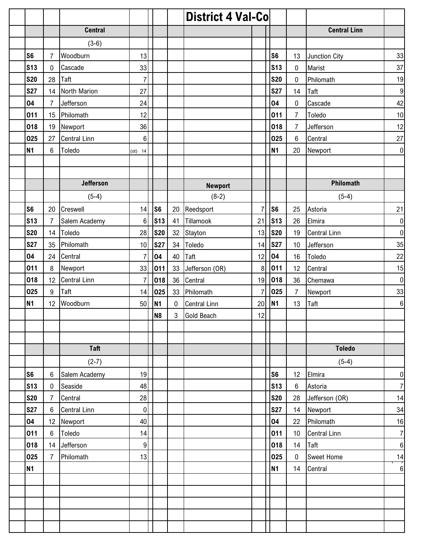|                 |                |                     |                |                |    | <b>District 4 Val-Co</b> |                |                |                |                     |                  |
|-----------------|----------------|---------------------|----------------|----------------|----|--------------------------|----------------|----------------|----------------|---------------------|------------------|
|                 |                | <b>Central</b>      |                |                |    |                          |                |                |                | <b>Central Linn</b> |                  |
|                 |                | $(3-6)$             |                |                |    |                          |                |                |                |                     |                  |
| S <sub>6</sub>  | $\overline{7}$ | Woodburn            | 13             |                |    |                          |                | S <sub>6</sub> | 13             | Junction City       | 33               |
| S <sub>13</sub> | 0              | Cascade             | 33             |                |    |                          |                | <b>S13</b>     | 0              | Marist              | 37               |
| <b>S20</b>      | 28             | Taft                | $\overline{7}$ |                |    |                          |                | <b>S20</b>     | $\pmb{0}$      | Philomath           | 19               |
| <b>S27</b>      | 14             | North Marion        | 27             |                |    |                          |                | <b>S27</b>     | 14             | Taft                | $\boldsymbol{9}$ |
| 04              | $\overline{7}$ | Jefferson           | 24             |                |    |                          |                | 04             | 0              | Cascade             | 42               |
| 011             | 15             | Philomath           | 12             |                |    |                          |                | 011            | $\overline{7}$ | Toledo              | 10               |
| 018             | 19             | Newport             | 36             |                |    |                          |                | 018            | $\overline{7}$ | Jefferson           | 12               |
| 025             | 27             | <b>Central Linn</b> | 6              |                |    |                          |                | 025            | 6              | Central             | 27               |
| <b>N1</b>       | $6\phantom{1}$ | Toledo              | $(ot)$ 14      |                |    |                          |                | N <sub>1</sub> | 20             | Newport             | $\mathbf 0$      |
|                 |                |                     |                |                |    |                          |                |                |                |                     |                  |
|                 |                |                     |                |                |    |                          |                |                |                |                     |                  |
|                 |                | <b>Jefferson</b>    |                |                |    | <b>Newport</b>           |                |                |                | Philomath           |                  |
|                 |                | $(5-4)$             |                |                |    | $(8-2)$                  |                |                |                | $(5-4)$             |                  |
| S <sub>6</sub>  | 20             | Creswell            | 14             | S <sub>6</sub> | 20 | Reedsport                | $\overline{7}$ | S6             | 25             | Astoria             | 21               |
| <b>S13</b>      | $\overline{7}$ | Salem Academy       | 6              | <b>S13</b>     | 41 | Tillamook                | 21             | <b>S13</b>     | 26             | Elmira              | $\boldsymbol{0}$ |
| <b>S20</b>      | 14             | Toledo              | 28             | <b>S20</b>     | 32 | Stayton                  | 13             | <b>S20</b>     | 19             | <b>Central Linn</b> | $\boldsymbol{0}$ |
| <b>S27</b>      | 35             | Philomath           | 10             | <b>S27</b>     |    | 34 Toledo                | 14             | <b>S27</b>     | 10             | Jefferson           | 35               |
| 04              | 24             | Central             | 7              | 04             | 40 | Taft                     | 12             | 04             | 16             | Toledo              | 22               |
| 011             | 8              | Newport             | 33             | 011            | 33 | Jefferson (OR)           | 8              | 011            | 12             | Central             | 15               |
| 018             | 12             | <b>Central Linn</b> | $\overline{7}$ | 018            | 36 | Central                  | 19             | 018            | 36             | Chemawa             | $\pmb{0}$        |
| 025             | 9              | Taft                | 14             | 025            | 33 | Philomath                | 7              | 025            | $\overline{7}$ | Newport             | 33               |
| <b>N1</b>       | 12             | Woodburn            | 50             | <b>N1</b>      | 0  | <b>Central Linn</b>      | 20             | <b>N1</b>      | 13             | Taft                | $\boldsymbol{6}$ |
|                 |                |                     |                | N <sub>8</sub> | 3  | <b>Gold Beach</b>        | 12             |                |                |                     |                  |
|                 |                |                     |                |                |    |                          |                |                |                |                     |                  |
|                 |                |                     |                |                |    |                          |                |                |                |                     |                  |
|                 |                | <b>Taft</b>         |                |                |    |                          |                |                |                | <b>Toledo</b>       |                  |
|                 |                | $(2-7)$             |                |                |    |                          |                |                |                | $(5-4)$             |                  |
| S <sub>6</sub>  | 6              | Salem Academy       | 19             |                |    |                          |                | S <sub>6</sub> | 12             | Elmira              | $\pmb{0}$        |
| <b>S13</b>      | 0              | Seaside             | 48             |                |    |                          |                | <b>S13</b>     | 6              | Astoria             | $\overline{7}$   |
| <b>S20</b>      | $\overline{7}$ | Central             | 28             |                |    |                          |                | <b>S20</b>     | 28             | Jefferson (OR)      | 14               |
| <b>S27</b>      | 6              | <b>Central Linn</b> | $\pmb{0}$      |                |    |                          |                | <b>S27</b>     | 14             | Newport             | 34               |
| 04              | 12             | Newport             | 40             |                |    |                          |                | 04             | 22             | Philomath           | 16               |
| 011             | 6              | Toledo              | 14             |                |    |                          |                | 011            | 10             | <b>Central Linn</b> | $\overline{7}$   |
| 018             | 14             | Jefferson           | 9              |                |    |                          |                | 018            | 14             | Taft                | $\,6\,$          |
| 025             | $\overline{7}$ | Philomath           | 13             |                |    |                          |                | 025            | 0              | <b>Sweet Home</b>   | 14               |
| <b>N1</b>       |                |                     |                |                |    |                          |                | N <sub>1</sub> | 14             | Central             | 6                |
|                 |                |                     |                |                |    |                          |                |                |                |                     |                  |
|                 |                |                     |                |                |    |                          |                |                |                |                     |                  |
|                 |                |                     |                |                |    |                          |                |                |                |                     |                  |
|                 |                |                     |                |                |    |                          |                |                |                |                     |                  |
|                 |                |                     |                |                |    |                          |                |                |                |                     |                  |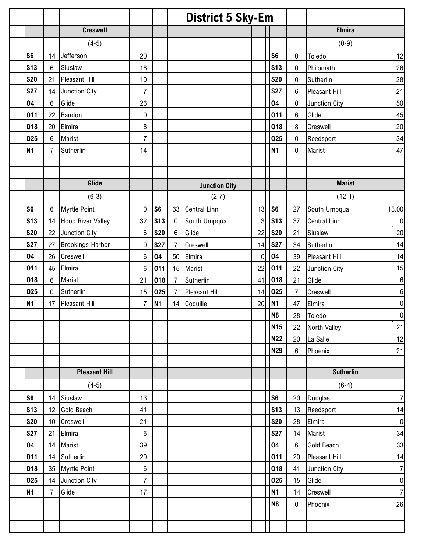|                |                 |                 |                          |                 |                |                 | <b>District 5 Sky-Em</b> |    |                 |                |                      |                  |
|----------------|-----------------|-----------------|--------------------------|-----------------|----------------|-----------------|--------------------------|----|-----------------|----------------|----------------------|------------------|
|                |                 |                 | <b>Creswell</b>          |                 |                |                 |                          |    |                 |                | <b>Elmira</b>        |                  |
|                |                 |                 | $(4-5)$                  |                 |                |                 |                          |    |                 |                | $(0-9)$              |                  |
| S <sub>6</sub> |                 | 14              | Jefferson                | 20              |                |                 |                          |    | S <sub>6</sub>  | 0              | Toledo               | 12               |
|                | <b>S13</b>      | 6               | Siuslaw                  | 18              |                |                 |                          |    | S <sub>13</sub> | 0              | Philomath            | 26               |
|                | <b>S20</b>      | 21              | <b>Pleasant Hill</b>     | 10              |                |                 |                          |    | <b>S20</b>      | 0              | Sutherlin            | 28               |
|                | <b>S27</b>      | 14              | Junction City            | $\overline{7}$  |                |                 |                          |    | <b>S27</b>      | 6              | <b>Pleasant Hill</b> | 21               |
|                | 04              | 6               | Glide                    | 26              |                |                 |                          |    | 04              | 0              | Junction City        | 50               |
|                | 011             | 22              | Bandon                   | $\mathbf 0$     |                |                 |                          |    | 011             | 6              | Glide                | 45               |
|                | 018             | 20              | Elmira                   | 8               |                |                 |                          |    | 018             | 8              | Creswell             | 20               |
|                | 025             | 6               | Marist                   | 7               |                |                 |                          |    | 025             | 0              | Reedsport            | 34               |
| <b>N1</b>      |                 | $\overline{7}$  | Sutherlin                | 14              |                |                 |                          |    | <b>N1</b>       | $\pmb{0}$      | Marist               | 47               |
|                |                 |                 |                          |                 |                |                 |                          |    |                 |                |                      |                  |
|                |                 |                 |                          |                 |                |                 |                          |    |                 |                |                      |                  |
|                |                 |                 | Glide                    |                 |                |                 | <b>Junction City</b>     |    |                 |                | <b>Marist</b>        |                  |
|                |                 |                 | $(6-3)$                  |                 |                |                 | $(2-7)$                  |    |                 |                | $(12-1)$             |                  |
| S <sub>6</sub> |                 | 6               | <b>Myrtle Point</b>      | $\mathbf 0$     | S <sub>6</sub> | 33              | <b>Central Linn</b>      | 13 | S <sub>6</sub>  | 27             | South Umpqua         | 13.00            |
|                | <b>S13</b>      | 14              | <b>Hood River Valley</b> | 32              | <b>S13</b>     | 0               | South Umpqua             | 3  | <b>S13</b>      | 37             | <b>Central Linn</b>  | $\pmb{0}$        |
|                | <b>S20</b>      | 22              | Junction City            | 6               | <b>S20</b>     | $6\phantom{1}6$ | Glide                    | 22 | <b>S20</b>      | 21             | Siuslaw              | 20               |
|                | <b>S27</b>      | 27              | Brookings-Harbor         | 0               | <b>S27</b>     | $\overline{7}$  | Creswell                 | 14 | <b>S27</b>      | 34             | Sutherlin            | 14               |
|                | 04              | 26              | Creswell                 | 6               | 04             | 50              | Elmira                   | 0  | 04              | 39             | <b>Pleasant Hill</b> | 14               |
|                | 011             | 45              | Elmira                   | $6\phantom{1}6$ | 011            | 15              | <b>Marist</b>            | 22 | 011             | 22             | Junction City        | 15               |
|                | 018             | 6               | Marist                   | 21              | 018            | $\overline{7}$  | Sutherlin                | 41 | 018             | 21             | Glide                | $\,6$            |
|                | 025             | $\pmb{0}$       | Sutherlin                | 15              | 025            | $\overline{7}$  | Pleasant Hill            | 14 | 025             | $\overline{7}$ | Creswell             | $\,6$            |
| <b>N1</b>      |                 | 17              | <b>Pleasant Hill</b>     | 7               | <b>N1</b>      | 14              | Coquille                 | 20 | <b>N1</b>       | 47             | Elmira               | $\pmb{0}$        |
|                |                 |                 |                          |                 |                |                 |                          |    | N <sub>8</sub>  | 28             | Toledo               | $\boldsymbol{0}$ |
|                |                 |                 |                          |                 |                |                 |                          |    | <b>N15</b>      | 22             | North Valley         | 21               |
|                |                 |                 |                          |                 |                |                 |                          |    | <b>N22</b>      | 20             | La Salle             | 12               |
|                |                 |                 |                          |                 |                |                 |                          |    | <b>N29</b>      | 6              | Phoenix              | 21               |
|                |                 |                 |                          |                 |                |                 |                          |    |                 |                |                      |                  |
|                |                 |                 | <b>Pleasant Hill</b>     |                 |                |                 |                          |    |                 |                | <b>Sutherlin</b>     |                  |
|                |                 |                 | $(4-5)$                  |                 |                |                 |                          |    |                 |                | $(6-4)$              |                  |
| S <sub>6</sub> |                 | 14              | Siuslaw                  | 13              |                |                 |                          |    | S <sub>6</sub>  | 20             | Douglas              | $\overline{7}$   |
|                | S <sub>13</sub> | 12              | <b>Gold Beach</b>        | 41              |                |                 |                          |    | <b>S13</b>      | 13             | Reedsport            | 14               |
|                | <b>S20</b>      | 10 <sup>1</sup> | Creswell                 | 21              |                |                 |                          |    | <b>S20</b>      | 28             | Elmira               | $\overline{0}$   |
|                | <b>S27</b>      | 21              | Elmira                   | 6               |                |                 |                          |    | <b>S27</b>      | 14             | Marist               | 34               |
|                | 04              | 14              | Marist                   | 39              |                |                 |                          |    | 04              | 6              | <b>Gold Beach</b>    | 33               |
|                | 011             | 14              | Sutherlin                | 20              |                |                 |                          |    | 011             | 20             | <b>Pleasant Hill</b> | 14               |
|                | 018             | 35              | <b>Myrtle Point</b>      | $\,6$           |                |                 |                          |    | 018             | 41             | Junction City        | $\overline{7}$   |
|                | 025             | 14              | Junction City            | $\overline{7}$  |                |                 |                          |    | 025             | 15             | Glide                | $\overline{0}$   |
|                | <b>N1</b>       | $\overline{7}$  | Glide                    | 17              |                |                 |                          |    | <b>N1</b>       | 14             | Creswell             | $\overline{7}$   |
|                |                 |                 |                          |                 |                |                 |                          |    | <b>N8</b>       | $\pmb{0}$      | Phoenix              | 26               |
|                |                 |                 |                          |                 |                |                 |                          |    |                 |                |                      |                  |
|                |                 |                 |                          |                 |                |                 |                          |    |                 |                |                      |                  |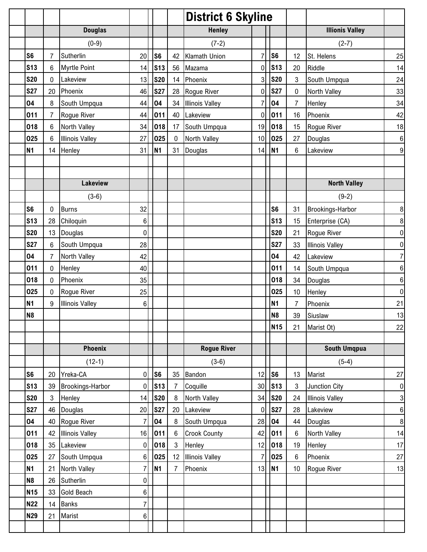|                |                |                         |                  |                |              | <b>District 6 Skyline</b> |    |                 |                |                        |                  |
|----------------|----------------|-------------------------|------------------|----------------|--------------|---------------------------|----|-----------------|----------------|------------------------|------------------|
|                |                | <b>Douglas</b>          |                  |                |              | <b>Henley</b>             |    |                 |                | <b>Illionis Valley</b> |                  |
|                |                | $(0-9)$                 |                  |                |              | $(7-2)$                   |    |                 |                | $(2-7)$                |                  |
| S <sub>6</sub> | 7              | Sutherlin               | 20               | S <sub>6</sub> |              | 42 Klamath Union          | 7  | S <sub>6</sub>  | 12             | St. Helens             | 25               |
| <b>S13</b>     | 6              | <b>Myrtle Point</b>     | 14               | <b>S13</b>     | 56           | Mazama                    | 0  | <b>S13</b>      | 20             | Riddle                 | 14               |
| <b>S20</b>     | 0              | Lakeview                | 13               | <b>S20</b>     | 14           | Phoenix                   | 3  | <b>S20</b>      | $\mathbf{3}$   | South Umpqua           | 24               |
| <b>S27</b>     | 20             | Phoenix                 | 46               | <b>S27</b>     | 28           | Rogue River               | 0  | <b>S27</b>      | 0              | North Valley           | 33               |
| 04             | 8              | South Umpqua            | 44               | 04             | 34           | <b>Illinois Valley</b>    | 7  | 04              | $\overline{7}$ | Henley                 | 34               |
| 011            | $\overline{7}$ | Rogue River             | 44               | 011            | 40           | Lakeview                  | 0  | 011             | 16             | Phoenix                | 42               |
| 018            | 6              | North Valley            | 34               | 018            | 17           | South Umpqua              | 19 | 018             | 15             | Rogue River            | 18               |
| 025            | 6              | <b>Illinois Valley</b>  | 27               | 025            | $\mathbf{0}$ | North Valley              | 10 | 025             | 27             | Douglas                | $6 \mid$         |
| <b>N1</b>      | 14             | Henley                  | 31               | <b>N1</b>      | 31           | Douglas                   | 14 | <b>N1</b>       | 6              | Lakeview               | 9                |
|                |                |                         |                  |                |              |                           |    |                 |                |                        |                  |
|                |                |                         |                  |                |              |                           |    |                 |                |                        |                  |
|                |                | Lakeview                |                  |                |              |                           |    |                 |                | <b>North Valley</b>    |                  |
|                |                | $(3-6)$                 |                  |                |              |                           |    |                 |                | $(9-2)$                |                  |
| S <sub>6</sub> | 0              | <b>Burns</b>            | 32               |                |              |                           |    | S <sub>6</sub>  | 31             | Brookings-Harbor       | 8 <sup>1</sup>   |
| <b>S13</b>     | 28             | Chiloquin               | $6\phantom{.}$   |                |              |                           |    | S <sub>13</sub> | 15             | Enterprise (CA)        | $\boldsymbol{8}$ |
| <b>S20</b>     | 13             | Douglas                 | $\mathbf 0$      |                |              |                           |    | <b>S20</b>      | 21             | Rogue River            | $\overline{0}$   |
| <b>S27</b>     | $6\phantom{1}$ | South Umpqua            | 28               |                |              |                           |    | <b>S27</b>      | 33             | <b>Illinois Valley</b> | $\overline{0}$   |
| 04             | $\overline{7}$ | North Valley            | 42               |                |              |                           |    | 04              | 42             | Lakeview               | $\overline{7}$   |
| 011            | 0              | Henley                  | 40               |                |              |                           |    | 011             | 14             | South Umpqua           | $6 \mid$         |
| 018            | 0              | Phoenix                 | 35               |                |              |                           |    | 018             | 34             | Douglas                | $6 \mid$         |
| 025            | 0              | Rogue River             | 25               |                |              |                           |    | 025             | 10             | Henley                 | $\overline{0}$   |
| <b>N1</b>      | 9              | <b>Illinois Valley</b>  | 6                |                |              |                           |    | <b>N1</b>       | $\overline{7}$ | Phoenix                | 21               |
| <b>N8</b>      |                |                         |                  |                |              |                           |    | N <sub>8</sub>  | 39             | Siuslaw                | 13               |
|                |                |                         |                  |                |              |                           |    | <b>N15</b>      | 21             | Marist Ot)             | 22               |
|                |                |                         |                  |                |              |                           |    |                 |                |                        |                  |
|                |                | <b>Phoenix</b>          |                  |                |              | <b>Rogue River</b>        |    |                 |                | <b>South Umqpua</b>    |                  |
|                |                | $(12-1)$                |                  |                |              | $(3-6)$                   |    |                 |                | $(5-4)$                |                  |
| S <sub>6</sub> | 20             | Yreka-CA                | 0                | S <sub>6</sub> | 35           | Bandon                    | 12 | S <sub>6</sub>  | 13             | Marist                 | 27               |
| <b>S13</b>     | 39             | <b>Brookings-Harbor</b> | 0                | <b>S13</b>     | 7            | Coquille                  | 30 | S <sub>13</sub> | 3              | Junction City          | $\overline{0}$   |
| <b>S20</b>     | 3              | Henley                  | 14               | <b>S20</b>     | 8            | North Valley              | 34 | <b>S20</b>      | 24             | <b>Illinois Valley</b> | 3                |
| <b>S27</b>     | 46             | Douglas                 | 20               | <b>S27</b>     | 20           | Lakeview                  | 0  | <b>S27</b>      | 28             | Lakeview               | $6 \overline{6}$ |
| 04             | 40             | Rogue River             | $\overline{7}$   | 04             | 8            | South Umpqua              | 28 | 04              | 44             | Douglas                | $\boldsymbol{8}$ |
| 011            | 42             | <b>Illinois Valley</b>  | 16               | 011            | 6            | <b>Crook County</b>       | 42 | 011             | 6              | North Valley           | 14               |
| 018            | 35             | Lakeview                | 0                | 018            | 3            | Henley                    | 12 | 018             | 19             | Henley                 | 17               |
| 025            | 27             | South Umpqua            | 6                | 025            | 12           | <b>Illinois Valley</b>    | 7  | 025             | 6              | Phoenix                | 27               |
| <b>N1</b>      | 21             | North Valley            | 7                | <b>N1</b>      | 7            | Phoenix                   | 13 | <b>N1</b>       | 10             | Rogue River            | 13               |
| N <sub>8</sub> | 26             | Sutherlin               | 0                |                |              |                           |    |                 |                |                        |                  |
| <b>N15</b>     | 33             | <b>Gold Beach</b>       | $\boldsymbol{6}$ |                |              |                           |    |                 |                |                        |                  |
| <b>N22</b>     | 14             | <b>Banks</b>            | $\overline{7}$   |                |              |                           |    |                 |                |                        |                  |
| <b>N29</b>     | 21             | Marist                  | 6                |                |              |                           |    |                 |                |                        |                  |
|                |                |                         |                  |                |              |                           |    |                 |                |                        |                  |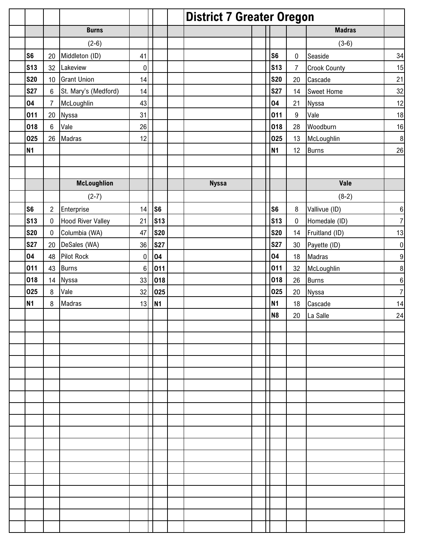|                 |                |                          |                 |                | <b>District 7 Greater Oregon</b> |                |                  |                     |                  |
|-----------------|----------------|--------------------------|-----------------|----------------|----------------------------------|----------------|------------------|---------------------|------------------|
|                 |                | <b>Burns</b>             |                 |                |                                  |                |                  | <b>Madras</b>       |                  |
|                 |                | $(2-6)$                  |                 |                |                                  |                |                  | $(3-6)$             |                  |
| S <sub>6</sub>  | 20             | Middleton (ID)           | 41              |                |                                  | S <sub>6</sub> | $\pmb{0}$        | Seaside             | 34               |
| <b>S13</b>      | 32             | Lakeview                 | $\pmb{0}$       |                |                                  | <b>S13</b>     | $\overline{7}$   | <b>Crook County</b> | 15               |
| <b>S20</b>      | 10             | <b>Grant Union</b>       | 14              |                |                                  | <b>S20</b>     | 20               | Cascade             | 21               |
| <b>S27</b>      | $\,6$          | St. Mary's (Medford)     | 14              |                |                                  | <b>S27</b>     | 14               | <b>Sweet Home</b>   | 32               |
| 04              | $\overline{7}$ | McLoughlin               | 43              |                |                                  | 04             | 21               | Nyssa               | 12               |
| 011             | 20             | Nyssa                    | 31              |                |                                  | 011            | $\boldsymbol{9}$ | Vale                | 18               |
| 018             | 6              | Vale                     | 26              |                |                                  | 018            | 28               | Woodburn            | 16               |
| 025             | 26             | Madras                   | 12              |                |                                  | 025            | 13               | McLoughlin          | $\, 8$           |
| <b>N1</b>       |                |                          |                 |                |                                  | N <sub>1</sub> | 12               | <b>Burns</b>        | 26               |
|                 |                |                          |                 |                |                                  |                |                  |                     |                  |
|                 |                |                          |                 |                |                                  |                |                  |                     |                  |
|                 |                | <b>McLoughlion</b>       |                 |                | <b>Nyssa</b>                     |                |                  | Vale                |                  |
|                 |                | $(2-7)$                  |                 |                |                                  |                |                  | $(8-2)$             |                  |
| S <sub>6</sub>  | $\overline{2}$ | Enterprise               | 14              | S <sub>6</sub> |                                  | S <sub>6</sub> | 8                | Vallivue (ID)       | $\,6$            |
| S <sub>13</sub> | $\pmb{0}$      | <b>Hood River Valley</b> | 21              | <b>S13</b>     |                                  | <b>S13</b>     | $\pmb{0}$        | Homedale (ID)       | $\overline{7}$   |
| <b>S20</b>      | $\pmb{0}$      | Columbia (WA)            | 47              | <b>S20</b>     |                                  | <b>S20</b>     | 14               | Fruitland (ID)      | 13               |
| <b>S27</b>      | 20             | DeSales (WA)             | 36              | <b>S27</b>     |                                  | <b>S27</b>     | 30               | Payette (ID)        | $\boldsymbol{0}$ |
| 04              | 48             | <b>Pilot Rock</b>        | $\mathbf 0$     | 04             |                                  | 04             | 18               | Madras              | 9                |
| 011             | 43             | <b>Burns</b>             | $6\phantom{1}6$ | 011            |                                  | 011            | 32               | McLoughlin          | $\bf 8$          |
| 018             | 14             | Nyssa                    | 33              | 018            |                                  | 018            | 26               | <b>Burns</b>        | 6                |
| 025             | $\, 8$         | Vale                     | 32              | 025            |                                  | 025            | 20               | Nyssa               | $\overline{7}$   |
| <b>N1</b>       | 8              | Madras                   | 13              | <b>N1</b>      |                                  | N <sub>1</sub> | 18               | Cascade             | 14               |
|                 |                |                          |                 |                |                                  | N <sub>8</sub> | 20               | La Salle            | 24               |
|                 |                |                          |                 |                |                                  |                |                  |                     |                  |
|                 |                |                          |                 |                |                                  |                |                  |                     |                  |
|                 |                |                          |                 |                |                                  |                |                  |                     |                  |
|                 |                |                          |                 |                |                                  |                |                  |                     |                  |
|                 |                |                          |                 |                |                                  |                |                  |                     |                  |
|                 |                |                          |                 |                |                                  |                |                  |                     |                  |
|                 |                |                          |                 |                |                                  |                |                  |                     |                  |
|                 |                |                          |                 |                |                                  |                |                  |                     |                  |
|                 |                |                          |                 |                |                                  |                |                  |                     |                  |
|                 |                |                          |                 |                |                                  |                |                  |                     |                  |
|                 |                |                          |                 |                |                                  |                |                  |                     |                  |
|                 |                |                          |                 |                |                                  |                |                  |                     |                  |
|                 |                |                          |                 |                |                                  |                |                  |                     |                  |
|                 |                |                          |                 |                |                                  |                |                  |                     |                  |
|                 |                |                          |                 |                |                                  |                |                  |                     |                  |
|                 |                |                          |                 |                |                                  |                |                  |                     |                  |
|                 |                |                          |                 |                |                                  |                |                  |                     |                  |
|                 |                |                          |                 |                |                                  |                |                  |                     |                  |